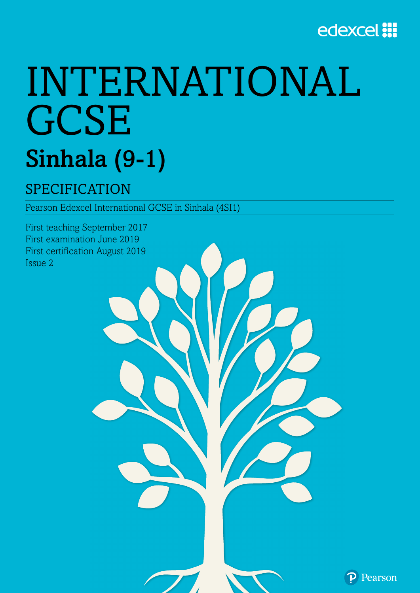

# INTERNATIONAL **GCSE** Sinhala (9-1)

# SPECIFICATION

Pearson Edexcel International GCSE in Sinhala (4SI1)

First teaching September 2017 First examination June 2019 First certification August 2019 Issue 2

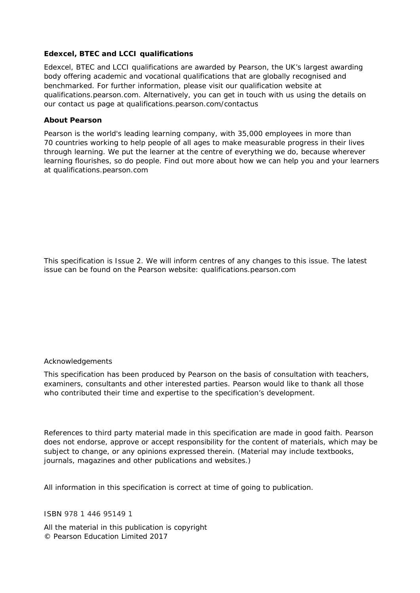#### **Edexcel, BTEC and LCCI qualifications**

Edexcel, BTEC and LCCI qualifications are awarded by Pearson, the UK's largest awarding body offering academic and vocational qualifications that are globally recognised and benchmarked. For further information, please visit our qualification website at qualifications.pearson.com. Alternatively, you can get in touch with us using the details on our contact us page at qualifications.pearson.com/contactus

#### **About Pearson**

Pearson is the world's leading learning company, with 35,000 employees in more than 70 countries working to help people of all ages to make measurable progress in their lives through learning. We put the learner at the centre of everything we do, because wherever learning flourishes, so do people. Find out more about how we can help you and your learners at qualifications.pearson.com

This specification is Issue 2. We will inform centres of any changes to this issue. The latest issue can be found on the Pearson website: qualifications.pearson.com

#### *Acknowledgements*

This specification has been produced by Pearson on the basis of consultation with teachers, examiners, consultants and other interested parties. Pearson would like to thank all those who contributed their time and expertise to the specification's development.

*References to third party material made in this specification are made in good faith. Pearson does not endorse, approve or accept responsibility for the content of materials, which may be subject to change, or any opinions expressed therein. (Material may include textbooks, journals, magazines and other publications and websites.)* 

*All information in this specification is correct at time of going to publication.*

#### ISBN 978 1 446 95149 1

All the material in this publication is copyright © Pearson Education Limited 2017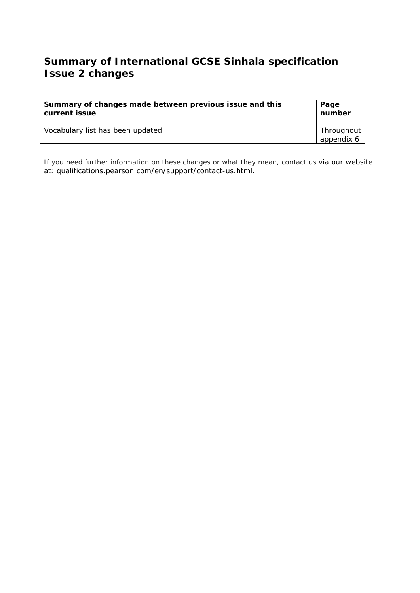# **Summary of International GCSE Sinhala specification Issue 2 changes**

| Summary of changes made between previous issue and this | Page                     |
|---------------------------------------------------------|--------------------------|
| current issue                                           | number                   |
| Vocabulary list has been updated                        | Throughout<br>appendix 6 |

If you need further information on these changes or what they mean, contact us via our website at: qualifications.pearson.com/en/support/contact-us.html.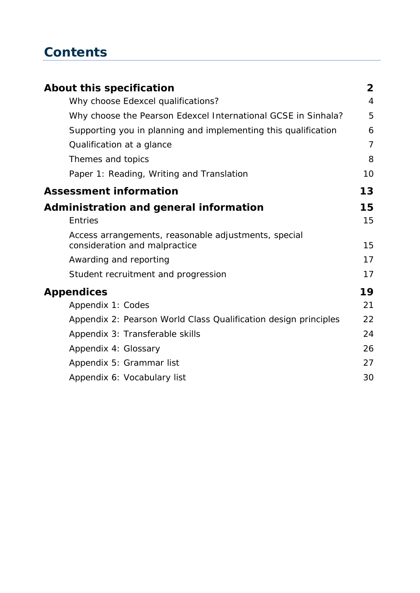# **Contents**

| About this specification                                                              | 2              |
|---------------------------------------------------------------------------------------|----------------|
| Why choose Edexcel qualifications?                                                    | $\overline{4}$ |
| Why choose the Pearson Edexcel International GCSE in Sinhala?                         | 5              |
| Supporting you in planning and implementing this qualification                        | 6              |
| Qualification at a glance                                                             | $\overline{7}$ |
| Themes and topics                                                                     | 8              |
| Paper 1: Reading, Writing and Translation                                             | 10             |
| <b>Assessment information</b>                                                         | 13             |
| Administration and general information                                                | 15             |
| <b>Entries</b>                                                                        | 15             |
| Access arrangements, reasonable adjustments, special<br>consideration and malpractice | 15             |
| Awarding and reporting                                                                | 17             |
| Student recruitment and progression                                                   | 17             |
| <b>Appendices</b>                                                                     | 19             |
| Appendix 1: Codes                                                                     | 21             |
| Appendix 2: Pearson World Class Qualification design principles                       | 22             |
| Appendix 3: Transferable skills                                                       | 24             |
| Appendix 4: Glossary                                                                  | 26             |
| Appendix 5: Grammar list                                                              | 27             |
| Appendix 6: Vocabulary list                                                           | 30             |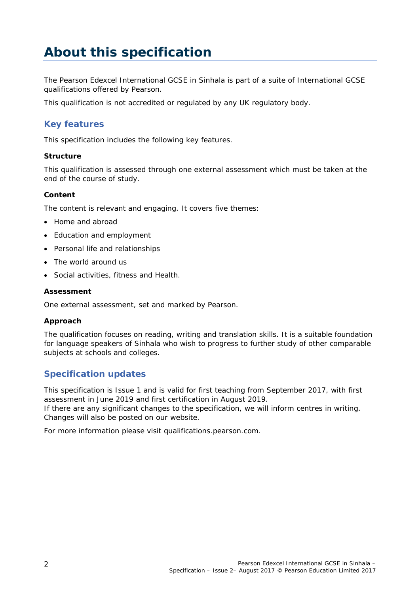# **About this specification**

The Pearson Edexcel International GCSE in Sinhala is part of a suite of International GCSE qualifications offered by Pearson.

This qualification is not accredited or regulated by any UK regulatory body.

# **Key features**

This specification includes the following key features.

### **Structure**

This qualification is assessed through one external assessment which must be taken at the end of the course of study.

### **Content**

The content is relevant and engaging. It covers five themes:

- Home and abroad
- Education and employment
- Personal life and relationships
- The world around us
- Social activities, fitness and Health.

#### **Assessment**

One external assessment, set and marked by Pearson.

#### **Approach**

The qualification focuses on reading, writing and translation skills. It is a suitable foundation for language speakers of Sinhala who wish to progress to further study of other comparable subjects at schools and colleges.

## **Specification updates**

This specification is Issue 1 and is valid for first teaching from September 2017, with first assessment in June 2019 and first certification in August 2019. If there are any significant changes to the specification, we will inform centres in writing. Changes will also be posted on our website.

For more information please visit qualifications.pearson.com.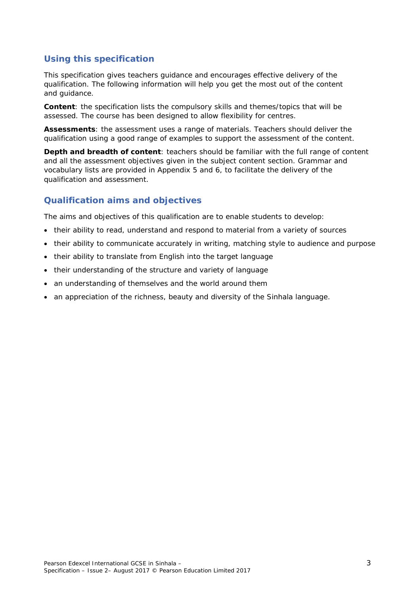# **Using this specification**

This specification gives teachers guidance and encourages effective delivery of the qualification. The following information will help you get the most out of the content and guidance.

**Content**: the specification lists the compulsory skills and themes/topics that will be assessed. The course has been designed to allow flexibility for centres.

**Assessments**: the assessment uses a range of materials. Teachers should deliver the qualification using a good range of examples to support the assessment of the content.

**Depth and breadth of content**: teachers should be familiar with the full range of content and all the assessment objectives given in the subject content section. Grammar and vocabulary lists are provided in Appendix 5 and 6, to facilitate the delivery of the qualification and assessment.

## **Qualification aims and objectives**

The aims and objectives of this qualification are to enable students to develop:

- their ability to read, understand and respond to material from a variety of sources
- their ability to communicate accurately in writing, matching style to audience and purpose
- their ability to translate from English into the target language
- their understanding of the structure and variety of language
- an understanding of themselves and the world around them
- an appreciation of the richness, beauty and diversity of the Sinhala language.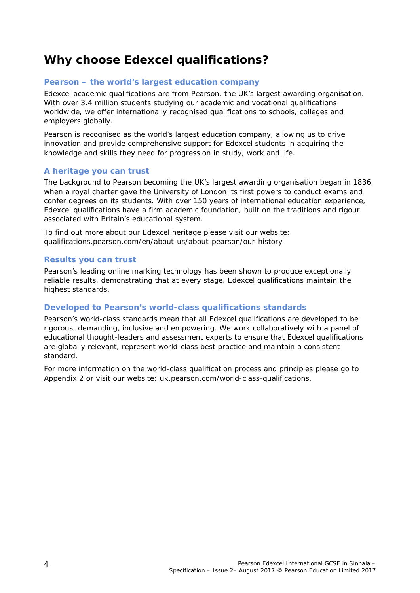# **Why choose Edexcel qualifications?**

## **Pearson – the world's largest education company**

Edexcel academic qualifications are from Pearson, the UK's largest awarding organisation. With over 3.4 million students studying our academic and vocational qualifications worldwide, we offer internationally recognised qualifications to schools, colleges and employers globally.

Pearson is recognised as the world's largest education company, allowing us to drive innovation and provide comprehensive support for Edexcel students in acquiring the knowledge and skills they need for progression in study, work and life.

## **A heritage you can trust**

The background to Pearson becoming the UK's largest awarding organisation began in 1836, when a royal charter gave the University of London its first powers to conduct exams and confer degrees on its students. With over 150 years of international education experience, Edexcel qualifications have a firm academic foundation, built on the traditions and rigour associated with Britain's educational system.

To find out more about our Edexcel heritage please visit our website: qualifications.pearson.com/en/about-us/about-pearson/our-history

### **Results you can trust**

Pearson's leading online marking technology has been shown to produce exceptionally reliable results, demonstrating that at every stage, Edexcel qualifications maintain the highest standards.

### **Developed to Pearson's world-class qualifications standards**

Pearson's world-class standards mean that all Edexcel qualifications are developed to be rigorous, demanding, inclusive and empowering. We work collaboratively with a panel of educational thought-leaders and assessment experts to ensure that Edexcel qualifications are globally relevant, represent world-class best practice and maintain a consistent standard.

For more information on the world-class qualification process and principles please go to *Appendix 2* or visit our website: uk.pearson.com/world-class-qualifications.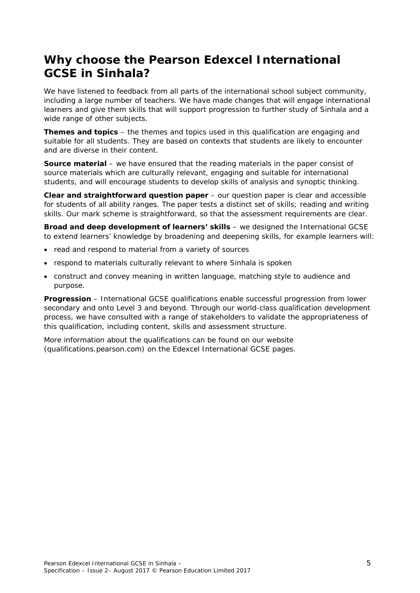# **Why choose the Pearson Edexcel International GCSE in Sinhala?**

We have listened to feedback from all parts of the international school subject community, including a large number of teachers. We have made changes that will engage international learners and give them skills that will support progression to further study of Sinhala and a wide range of other subjects.

**Themes and topics** – the themes and topics used in this qualification are engaging and suitable for all students. They are based on contexts that students are likely to encounter and are diverse in their content.

**Source material** – we have ensured that the reading materials in the paper consist of source materials which are culturally relevant, engaging and suitable for international students, and will encourage students to develop skills of analysis and synoptic thinking.

**Clear and straightforward question paper** – our question paper is clear and accessible for students of all ability ranges. The paper tests a distinct set of skills; reading and writing skills. Our mark scheme is straightforward, so that the assessment requirements are clear.

**Broad and deep development of learners' skills** – we designed the International GCSE to extend learners' knowledge by broadening and deepening skills, for example learners will:

- read and respond to material from a variety of sources
- respond to materials culturally relevant to where Sinhala is spoken
- construct and convey meaning in written language, matching style to audience and purpose.

**Progression** – International GCSE qualifications enable successful progression from lower secondary and onto Level 3 and beyond. Through our world-class qualification development process, we have consulted with a range of stakeholders to validate the appropriateness of this qualification, including content, skills and assessment structure.

More information about the qualifications can be found on our website (qualifications.pearson.com) on the Edexcel International GCSE pages.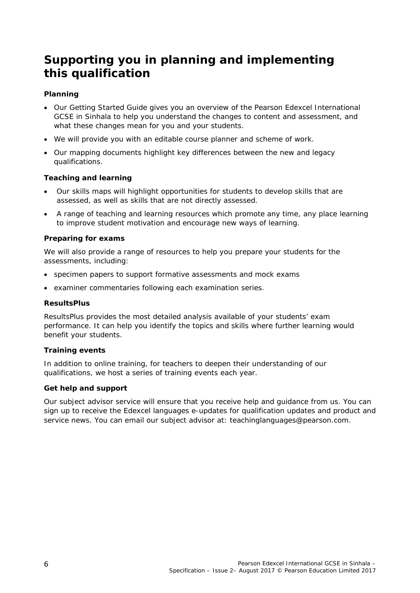# **Supporting you in planning and implementing this qualification**

## **Planning**

- Our *Getting Started Guide* gives you an overview of the Pearson Edexcel International GCSE in Sinhala to help you understand the changes to content and assessment, and what these changes mean for you and your students.
- We will provide you with an editable course planner and scheme of work.
- Our mapping documents highlight key differences between the new and legacy qualifications.

#### **Teaching and learning**

- Our skills maps will highlight opportunities for students to develop skills that are assessed, as well as skills that are not directly assessed.
- A range of teaching and learning resources which promote any time, any place learning to improve student motivation and encourage new ways of learning.

#### **Preparing for exams**

We will also provide a range of resources to help you prepare your students for the assessments, including:

- specimen papers to support formative assessments and mock exams
- examiner commentaries following each examination series.

#### **ResultsPlus**

ResultsPlus provides the most detailed analysis available of your students' exam performance. It can help you identify the topics and skills where further learning would benefit your students.

#### **Training events**

In addition to online training, for teachers to deepen their understanding of our qualifications, we host a series of training events each year.

#### **Get help and support**

Our subject advisor service will ensure that you receive help and guidance from us. You can sign up to receive the Edexcel languages e-updates for qualification updates and product and service news. You can email our subject advisor at: teachinglanguages@pearson.com.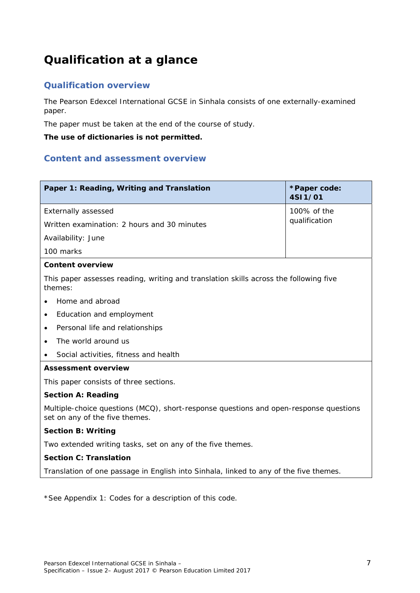# **Qualification at a glance**

# **Qualification overview**

The Pearson Edexcel International GCSE in Sinhala consists of one externally-examined paper.

The paper must be taken at the end of the course of study.

**The use of dictionaries is not permitted.** 

## **Content and assessment overview**

| Paper 1: Reading, Writing and Translation                                                                               | *Paper code:<br>4SI1/01 |  |
|-------------------------------------------------------------------------------------------------------------------------|-------------------------|--|
| <b>Externally assessed</b><br>100% of the                                                                               |                         |  |
| Written examination: 2 hours and 30 minutes                                                                             | qualification           |  |
| Availability: June                                                                                                      |                         |  |
| 100 marks                                                                                                               |                         |  |
| <b>Content overview</b>                                                                                                 |                         |  |
| This paper assesses reading, writing and translation skills across the following five<br>themes:                        |                         |  |
| Home and abroad                                                                                                         |                         |  |
| Education and employment<br>$\bullet$                                                                                   |                         |  |
| Personal life and relationships<br>$\bullet$                                                                            |                         |  |
| The world around us                                                                                                     |                         |  |
| Social activities, fitness and health<br>$\bullet$                                                                      |                         |  |
| <b>Assessment overview</b>                                                                                              |                         |  |
| This paper consists of three sections.                                                                                  |                         |  |
| <b>Section A: Reading</b>                                                                                               |                         |  |
| Multiple-choice questions (MCQ), short-response questions and open-response questions<br>set on any of the five themes. |                         |  |
| <b>Section B: Writing</b>                                                                                               |                         |  |
| Two extended writing tasks, set on any of the five themes.                                                              |                         |  |
| <b>Section C: Translation</b>                                                                                           |                         |  |
| Translation of one passage in English into Sinhala, linked to any of the five themes.                                   |                         |  |

\*See *Appendix 1: Codes* for a description of this code.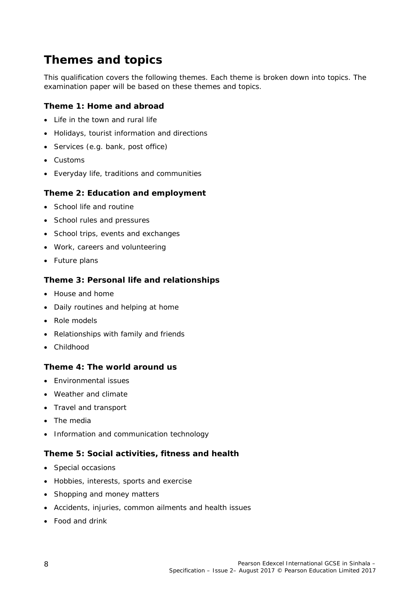# **Themes and topics**

This qualification covers the following themes. Each theme is broken down into topics. The examination paper will be based on these themes and topics.

## **Theme 1: Home and abroad**

- Life in the town and rural life
- Holidays, tourist information and directions
- Services (e.g. bank, post office)
- Customs
- Everyday life, traditions and communities

## **Theme 2: Education and employment**

- School life and routine
- School rules and pressures
- School trips, events and exchanges
- Work, careers and volunteering
- Future plans

## **Theme 3: Personal life and relationships**

- House and home
- Daily routines and helping at home
- Role models
- Relationships with family and friends
- Childhood

### **Theme 4: The world around us**

- Environmental issues
- Weather and climate
- Travel and transport
- The media
- Information and communication technology

### **Theme 5: Social activities, fitness and health**

- Special occasions
- Hobbies, interests, sports and exercise
- Shopping and money matters
- Accidents, injuries, common ailments and health issues
- Food and drink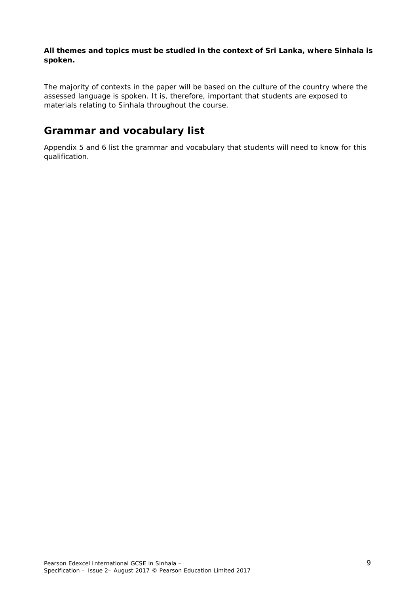**All themes and topics must be studied in the context of Sri Lanka, where Sinhala is spoken.** 

The majority of contexts in the paper will be based on the culture of the country where the assessed language is spoken. It is, therefore, important that students are exposed to materials relating to Sinhala throughout the course.

# **Grammar and vocabulary list**

*Appendix 5* and *6* list the grammar and vocabulary that students will need to know for this qualification.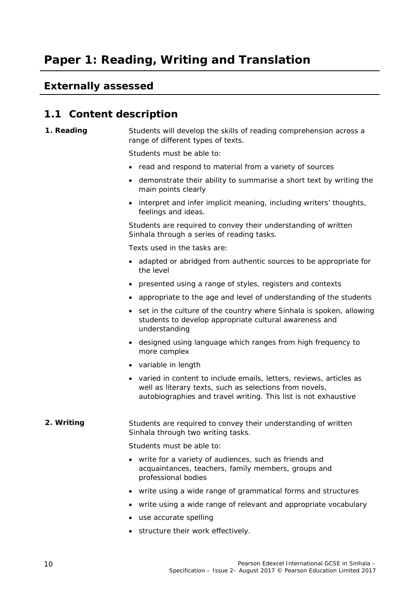# **Paper 1: Reading, Writing and Translation**

# **Externally assessed**

# **1.1 Content description**

### **1. Reading** Students will develop the skills of reading comprehension across a range of different types of texts.

Students must be able to:

- read and respond to material from a variety of sources
- demonstrate their ability to summarise a short text by writing the main points clearly
- interpret and infer implicit meaning, including writers' thoughts, feelings and ideas.

Students are required to convey their understanding of written Sinhala through a series of reading tasks.

Texts used in the tasks are:

- adapted or abridged from authentic sources to be appropriate for the level
- presented using a range of styles, registers and contexts
- appropriate to the age and level of understanding of the students
- set in the culture of the country where Sinhala is spoken, allowing students to develop appropriate cultural awareness and understanding
- designed using language which ranges from high frequency to more complex
- variable in length
- varied in content to include emails, letters, reviews, articles as well as literary texts, such as selections from novels, autobiographies and travel writing. This list is not exhaustive

#### **2. Writing Students are required to convey their understanding of written** Sinhala through two writing tasks.

Students must be able to:

- write for a variety of audiences, such as friends and acquaintances, teachers, family members, groups and professional bodies
- write using a wide range of grammatical forms and structures
- write using a wide range of relevant and appropriate vocabulary
- use accurate spelling
- structure their work effectively.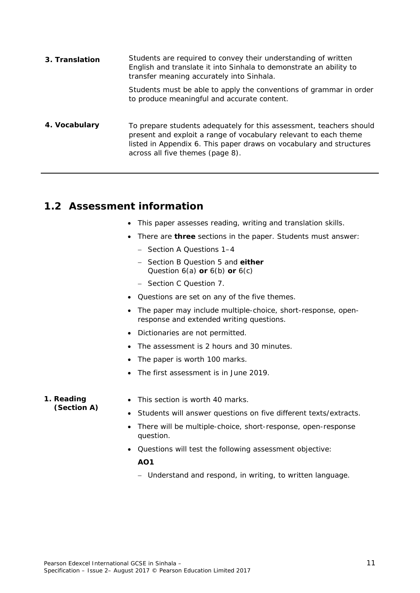| 3. Translation | Students are required to convey their understanding of written<br>English and translate it into Sinhala to demonstrate an ability to<br>transfer meaning accurately into Sinhala.                                                                  |
|----------------|----------------------------------------------------------------------------------------------------------------------------------------------------------------------------------------------------------------------------------------------------|
|                | Students must be able to apply the conventions of grammar in order<br>to produce meaningful and accurate content.                                                                                                                                  |
| 4. Vocabulary  | To prepare students adequately for this assessment, teachers should<br>present and exploit a range of vocabulary relevant to each theme<br>listed in Appendix 6. This paper draws on vocabulary and structures<br>across all five themes (page 8). |

# **1.2 Assessment information**

- This paper assesses reading, writing and translation skills.
- There are **three** sections in the paper. Students must answer:
	- Section A Questions 1-4
	- Section B Question 5 and **either** Question 6(a) **or** 6(b) **or** 6(c)
	- Section C Question 7.
- Questions are set on any of the five themes.
- The paper may include multiple-choice, short-response, openresponse and extended writing questions.
- Dictionaries are not permitted.
- The assessment is 2 hours and 30 minutes.
- The paper is worth 100 marks.
- The first assessment is in June 2019.

#### **1. Reading (Section A)**

- This section is worth 40 marks.
- Students will answer questions on five different texts/extracts.
- There will be multiple-choice, short-response, open-response question.
- Questions will test the following assessment objective: **AO1** 
	- Understand and respond, in writing, to written language.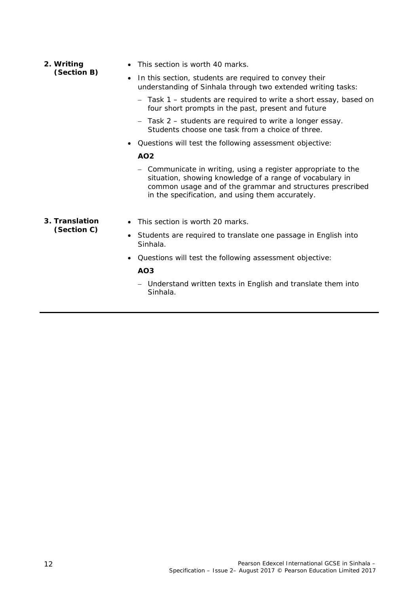- **2. Writing (Section B)**  • This section is worth 40 marks. • In this section, students are required to convey their understanding of Sinhala through two extended writing tasks: - Task 1 - students are required to write a short essay, based on four short prompts in the past, present and future - Task 2 – students are required to write a longer essay. Students choose one task from a choice of three. Questions will test the following assessment objective: **AO2**  - Communicate in writing, using a register appropriate to the situation, showing knowledge of a range of vocabulary in
	- common usage and of the grammar and structures prescribed in the specification, and using them accurately.
- **3. Translation (Section C)**
- This section is worth 20 marks.
- Students are required to translate one passage in English into Sinhala.
- Questions will test the following assessment objective:

#### **AO3**

- Understand written texts in English and translate them into Sinhala.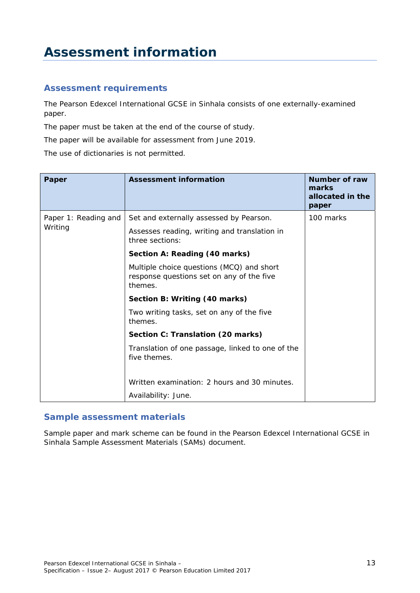# **Assessment information**

## **Assessment requirements**

The Pearson Edexcel International GCSE in Sinhala consists of one externally-examined paper.

The paper must be taken at the end of the course of study.

The paper will be available for assessment from June 2019.

The use of dictionaries is not permitted.

| Paper                | Assessment information                                                                            | Number of raw<br>marks<br>allocated in the<br>paper |
|----------------------|---------------------------------------------------------------------------------------------------|-----------------------------------------------------|
| Paper 1: Reading and | Set and externally assessed by Pearson.                                                           | 100 marks                                           |
| Writing              | Assesses reading, writing and translation in<br>three sections:                                   |                                                     |
|                      | Section A: Reading (40 marks)                                                                     |                                                     |
|                      | Multiple choice questions (MCQ) and short<br>response questions set on any of the five<br>themes. |                                                     |
|                      | Section B: Writing (40 marks)                                                                     |                                                     |
|                      | Two writing tasks, set on any of the five<br>themes.                                              |                                                     |
|                      | Section C: Translation (20 marks)                                                                 |                                                     |
|                      | Translation of one passage, linked to one of the<br>five themes.                                  |                                                     |
|                      | Written examination: 2 hours and 30 minutes.                                                      |                                                     |
|                      | Availability: June.                                                                               |                                                     |

## **Sample assessment materials**

Sample paper and mark scheme can be found in the *Pearson Edexcel International GCSE in Sinhala Sample Assessment Materials (SAMs)* document.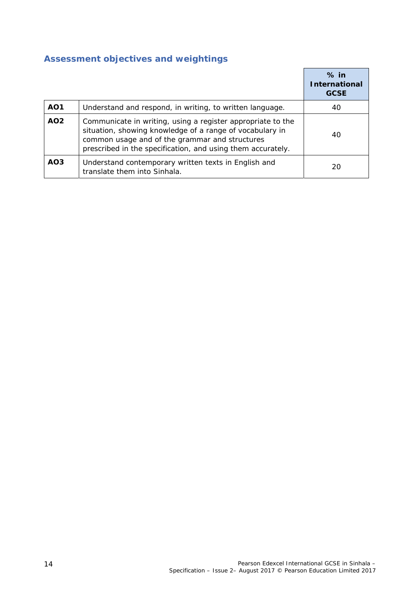# **Assessment objectives and weightings**

|                 |                                                                                                                                                                                                                                          | $%$ in<br><b>International</b><br><b>GCSE</b> |
|-----------------|------------------------------------------------------------------------------------------------------------------------------------------------------------------------------------------------------------------------------------------|-----------------------------------------------|
| AO <sub>1</sub> | Understand and respond, in writing, to written language.                                                                                                                                                                                 | 40                                            |
| AO <sub>2</sub> | Communicate in writing, using a register appropriate to the<br>situation, showing knowledge of a range of vocabulary in<br>common usage and of the grammar and structures<br>prescribed in the specification, and using them accurately. | 40                                            |
| AO <sub>3</sub> | Understand contemporary written texts in English and<br>translate them into Sinhala.                                                                                                                                                     | 20                                            |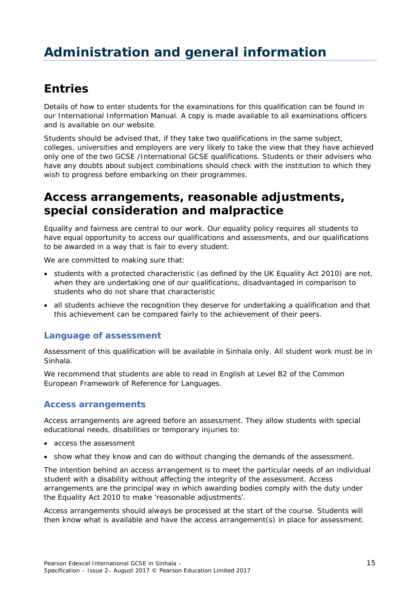# **Entries**

Details of how to enter students for the examinations for this qualification can be found in our *International Information Manual*. A copy is made available to all examinations officers and is available on our website.

Students should be advised that, if they take two qualifications in the same subject, colleges, universities and employers are very likely to take the view that they have achieved only one of the two GCSE /International GCSE qualifications. Students or their advisers who have any doubts about subject combinations should check with the institution to which they wish to progress before embarking on their programmes.

# **Access arrangements, reasonable adjustments, special consideration and malpractice**

Equality and fairness are central to our work. Our equality policy requires all students to have equal opportunity to access our qualifications and assessments, and our qualifications to be awarded in a way that is fair to every student.

We are committed to making sure that:

- students with a protected characteristic (as defined by the UK Equality Act 2010) are not, when they are undertaking one of our qualifications, disadvantaged in comparison to students who do not share that characteristic
- all students achieve the recognition they deserve for undertaking a qualification and that this achievement can be compared fairly to the achievement of their peers.

## **Language of assessment**

Assessment of this qualification will be available in Sinhala only. All student work must be in Sinhala.

We recommend that students are able to read in English at Level B2 of the Common European Framework of Reference for Languages.

## **Access arrangements**

Access arrangements are agreed before an assessment. They allow students with special educational needs, disabilities or temporary injuries to:

- access the assessment
- show what they know and can do without changing the demands of the assessment.

The intention behind an access arrangement is to meet the particular needs of an individual student with a disability without affecting the integrity of the assessment. Access arrangements are the principal way in which awarding bodies comply with the duty under the Equality Act 2010 to make 'reasonable adjustments'.

Access arrangements should always be processed at the start of the course. Students will then know what is available and have the access arrangement(s) in place for assessment.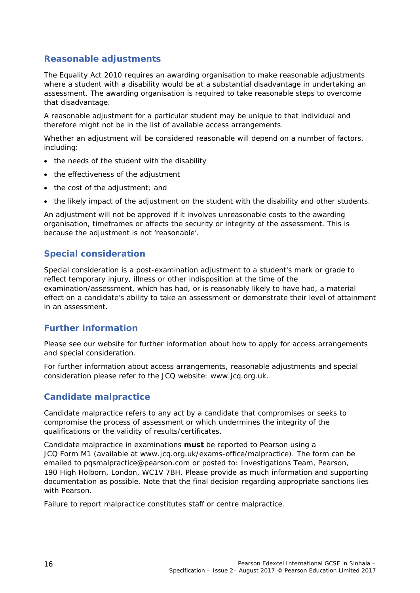# **Reasonable adjustments**

The Equality Act 2010 requires an awarding organisation to make reasonable adjustments where a student with a disability would be at a substantial disadvantage in undertaking an assessment. The awarding organisation is required to take reasonable steps to overcome that disadvantage.

A reasonable adjustment for a particular student may be unique to that individual and therefore might not be in the list of available access arrangements.

Whether an adjustment will be considered reasonable will depend on a number of factors, including:

- the needs of the student with the disability
- the effectiveness of the adjustment
- the cost of the adjustment; and
- the likely impact of the adjustment on the student with the disability and other students.

An adjustment will not be approved if it involves unreasonable costs to the awarding organisation, timeframes or affects the security or integrity of the assessment. This is because the adjustment is not 'reasonable'.

## **Special consideration**

Special consideration is a post-examination adjustment to a student's mark or grade to reflect temporary injury, illness or other indisposition at the time of the examination/assessment, which has had, or is reasonably likely to have had, a material effect on a candidate's ability to take an assessment or demonstrate their level of attainment in an assessment.

## **Further information**

Please see our website for further information about how to apply for access arrangements and special consideration.

For further information about access arrangements, reasonable adjustments and special consideration please refer to the JCQ website: www.jcq.org.uk.

## **Candidate malpractice**

Candidate malpractice refers to any act by a candidate that compromises or seeks to compromise the process of assessment or which undermines the integrity of the qualifications or the validity of results/certificates.

Candidate malpractice in examinations **must** be reported to Pearson using a *JCQ Form M1* (available at www.jcq.org.uk/exams-office/malpractice). The form can be emailed to pqsmalpractice@pearson.com or posted to: Investigations Team, Pearson, 190 High Holborn, London, WC1V 7BH. Please provide as much information and supporting documentation as possible. Note that the final decision regarding appropriate sanctions lies with Pearson.

Failure to report malpractice constitutes staff or centre malpractice.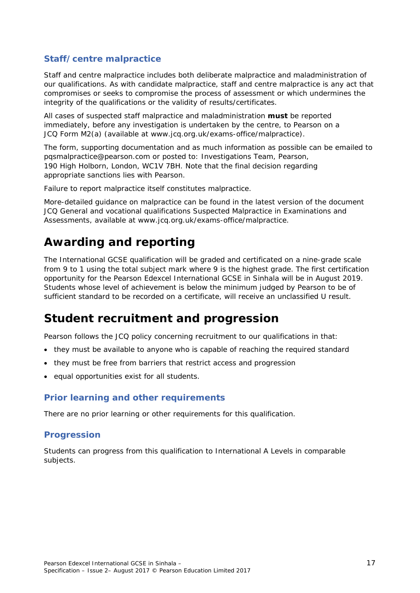## **Staff/centre malpractice**

Staff and centre malpractice includes both deliberate malpractice and maladministration of our qualifications. As with candidate malpractice, staff and centre malpractice is any act that compromises or seeks to compromise the process of assessment or which undermines the integrity of the qualifications or the validity of results/certificates.

All cases of suspected staff malpractice and maladministration **must** be reported immediately, before any investigation is undertaken by the centre, to Pearson on a *JCQ Form M2(a)* (available at www.jcq.org.uk/exams-office/malpractice).

The form, supporting documentation and as much information as possible can be emailed to pqsmalpractice@pearson.com or posted to: Investigations Team, Pearson, 190 High Holborn, London, WC1V 7BH. Note that the final decision regarding appropriate sanctions lies with Pearson.

Failure to report malpractice itself constitutes malpractice.

More-detailed guidance on malpractice can be found in the latest version of the document *JCQ General and vocational qualifications Suspected Malpractice in Examinations and Assessments,* available at www.jcq.org.uk/exams-office/malpractice.

# **Awarding and reporting**

The International GCSE qualification will be graded and certificated on a nine-grade scale from 9 to 1 using the total subject mark where 9 is the highest grade. The first certification opportunity for the Pearson Edexcel International GCSE in Sinhala will be in August 2019. Students whose level of achievement is below the minimum judged by Pearson to be of sufficient standard to be recorded on a certificate, will receive an unclassified U result.

# **Student recruitment and progression**

Pearson follows the JCQ policy concerning recruitment to our qualifications in that:

- they must be available to anyone who is capable of reaching the required standard
- they must be free from barriers that restrict access and progression
- equal opportunities exist for all students.

## **Prior learning and other requirements**

There are no prior learning or other requirements for this qualification.

## **Progression**

Students can progress from this qualification to International A Levels in comparable subjects.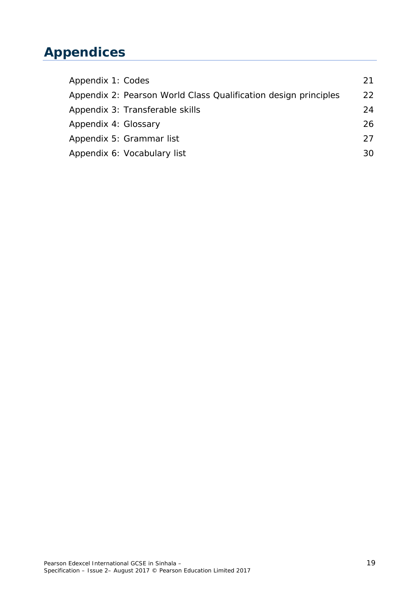# **Appendices**

| Appendix 1: Codes                                               | 21  |
|-----------------------------------------------------------------|-----|
| Appendix 2: Pearson World Class Qualification design principles | 22  |
| Appendix 3: Transferable skills                                 | 24  |
| Appendix 4: Glossary                                            | 26. |
| Appendix 5: Grammar list                                        | 27  |
| Appendix 6: Vocabulary list                                     | 30. |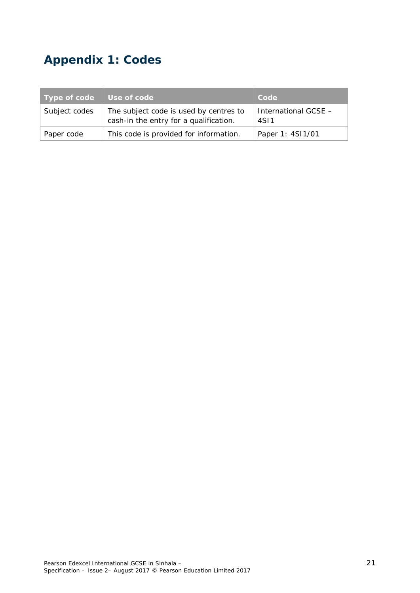# **Appendix 1: Codes**

| Type of code  | Use of code                                                                      | Code                         |
|---------------|----------------------------------------------------------------------------------|------------------------------|
| Subject codes | The subject code is used by centres to<br>cash-in the entry for a qualification. | International GCSE -<br>4S11 |
| Paper code    | This code is provided for information.                                           | Paper 1: 4SI1/01             |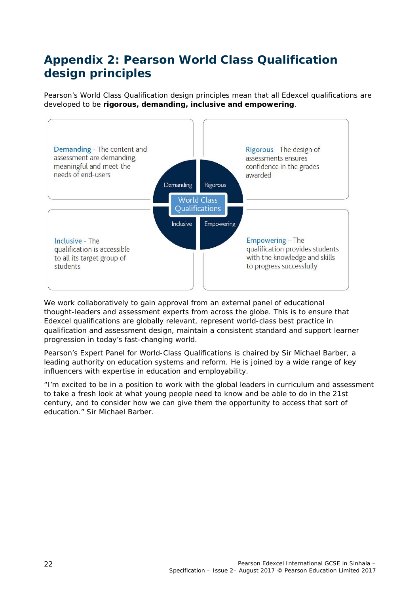# **Appendix 2: Pearson World Class Qualification design principles**

Pearson's World Class Qualification design principles mean that all Edexcel qualifications are developed to be **rigorous, demanding, inclusive and empowering**.



We work collaboratively to gain approval from an external panel of educational thought-leaders and assessment experts from across the globe. This is to ensure that Edexcel qualifications are globally relevant, represent world-class best practice in qualification and assessment design, maintain a consistent standard and support learner progression in today's fast-changing world.

Pearson's Expert Panel for World-Class Qualifications is chaired by Sir Michael Barber, a leading authority on education systems and reform. He is joined by a wide range of key influencers with expertise in education and employability.

*"I'm excited to be in a position to work with the global leaders in curriculum and assessment*  to take a fresh look at what young people need to know and be able to do in the 21st *century, and to consider how we can give them the opportunity to access that sort of education."* Sir Michael Barber.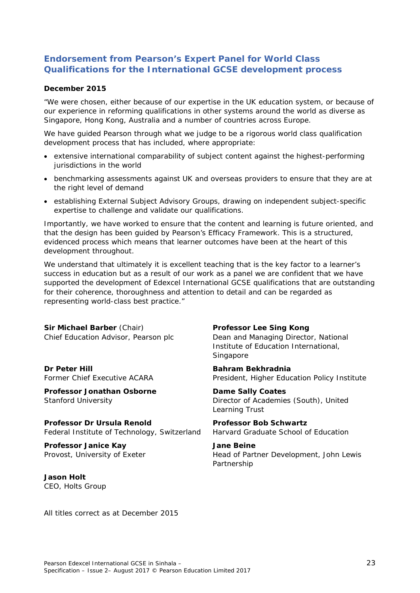## **Endorsement from Pearson's Expert Panel for World Class Qualifications for the International GCSE development process**

#### **December 2015**

"We were chosen, either because of our expertise in the UK education system, or because of our experience in reforming qualifications in other systems around the world as diverse as Singapore, Hong Kong, Australia and a number of countries across Europe.

We have guided Pearson through what we judge to be a rigorous world class qualification development process that has included, where appropriate:

- extensive international comparability of subject content against the highest-performing jurisdictions in the world
- benchmarking assessments against UK and overseas providers to ensure that they are at the right level of demand
- establishing External Subject Advisory Groups, drawing on independent subject-specific expertise to challenge and validate our qualifications.

Importantly, we have worked to ensure that the content and learning is future oriented, and that the design has been guided by Pearson's Efficacy Framework. This is a structured, evidenced process which means that learner outcomes have been at the heart of this development throughout.

We understand that ultimately it is excellent teaching that is the key factor to a learner's success in education but as a result of our work as a panel we are confident that we have supported the development of Edexcel International GCSE qualifications that are outstanding for their coherence, thoroughness and attention to detail and can be regarded as representing world-class best practice."

| Sir Michael Barber (Chair)<br>Chief Education Advisor, Pearson plc         | Professor Lee Sing Kong<br>Dean and Managing Director, National<br>Institute of Education International,<br>Singapore |
|----------------------------------------------------------------------------|-----------------------------------------------------------------------------------------------------------------------|
| Dr Peter Hill<br>Former Chief Executive ACARA                              | Bahram Bekhradnia<br>President, Higher Education Policy Institute                                                     |
| Professor Jonathan Osborne<br>Stanford University                          | Dame Sally Coates<br>Director of Academies (South), United<br>Learning Trust                                          |
| Professor Dr Ursula Renold<br>Federal Institute of Technology, Switzerland | Professor Bob Schwartz<br>Harvard Graduate School of Education                                                        |
| Professor Janice Kay<br>Provost, University of Exeter                      | Jane Beine<br>Head of Partner Development, John Lewis<br>Partnership                                                  |
| Jason Holt<br>CEO, Holts Group                                             |                                                                                                                       |

All titles correct as at December 2015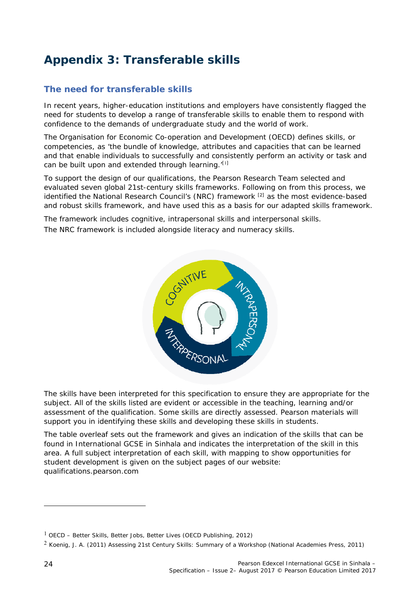# **Appendix 3: Transferable skills**

# **The need for transferable skills**

In recent years, higher-education institutions and employers have consistently flagged the need for students to develop a range of transferable skills to enable them to respond with confidence to the demands of undergraduate study and the world of work.

The Organisation for Economic Co-operation and Development (OECD) defines skills, or competencies, as 'the bundle of knowledge, attributes and capacities that can be learned and that enable individuals to successfully and consistently perform an activity or task and can be built upon and extended through learning.<sup>'[1]</sup>

To support the design of our qualifications, the Pearson Research Team selected and evaluated seven global 21st-century skills frameworks. Following on from this process, we identified the National Research Council's (NRC) framework <sup>[2]</sup> as the most evidence-based and robust skills framework, and have used this as a basis for our adapted skills framework.

The framework includes cognitive, intrapersonal skills and interpersonal skills. The NRC framework is included alongside literacy and numeracy skills.



The skills have been interpreted for this specification to ensure they are appropriate for the subject. All of the skills listed are evident or accessible in the teaching, learning and/or assessment of the qualification. Some skills are directly assessed. Pearson materials will support you in identifying these skills and developing these skills in students.

The table overleaf sets out the framework and gives an indication of the skills that can be found in International GCSE in Sinhala and indicates the interpretation of the skill in this area. A full subject interpretation of each skill, with mapping to show opportunities for student development is given on the subject pages of our website: qualifications.pearson.com

<sup>1</sup> OECD – *Better Skills, Better Jobs, Better Lives* (OECD Publishing, 2012)

<sup>2</sup> Koenig, J. A. (2011) *Assessing 21st Century Skills: Summary of a Workshop* (National Academies Press, 2011)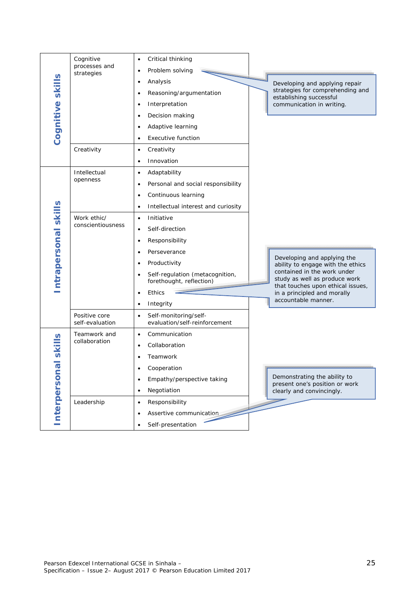| Cognitive skills     | Cognitive<br>processes and<br>strategies<br>Creativity       | Critical thinking<br>٠<br>Problem solving<br>$\bullet$<br>Analysis<br>Developing and applying repair<br>strategies for comprehending and<br>Reasoning/argumentation<br>$\bullet$<br>establishing successful<br>Interpretation<br>communication in writing.<br>$\bullet$<br>Decision making<br>$\bullet$<br>Adaptive learning<br>$\bullet$<br><b>Executive function</b><br>$\bullet$<br>Creativity<br>$\bullet$<br>Innovation                                                                                                                                                                                                                 |
|----------------------|--------------------------------------------------------------|----------------------------------------------------------------------------------------------------------------------------------------------------------------------------------------------------------------------------------------------------------------------------------------------------------------------------------------------------------------------------------------------------------------------------------------------------------------------------------------------------------------------------------------------------------------------------------------------------------------------------------------------|
| ntrapersonal skills  | Intellectual<br>openness<br>Work ethic/<br>conscientiousness | Adaptability<br>$\bullet$<br>Personal and social responsibility<br>$\bullet$<br>Continuous learning<br>$\bullet$<br>Intellectual interest and curiosity<br>$\bullet$<br>Initiative<br>$\bullet$<br>Self-direction<br>$\bullet$<br>Responsibility<br>$\bullet$<br>Perseverance<br>Developing and applying the<br>Productivity<br>ability to engage with the ethics<br>contained in the work under<br>Self-regulation (metacognition,<br>study as well as produce work<br>forethought, reflection)<br>that touches upon ethical issues,<br>Ethics<br>in a principled and morally<br>$\bullet$<br>accountable manner.<br>Integrity<br>$\bullet$ |
|                      | Positive core<br>self-evaluation                             | Self-monitoring/self-<br>$\bullet$<br>evaluation/self-reinforcement                                                                                                                                                                                                                                                                                                                                                                                                                                                                                                                                                                          |
| Interpersonal skills | Teamwork and<br>collaboration                                | Communication<br>$\bullet$<br>Collaboration<br>Teamwork<br>$\bullet$<br>Cooperation<br>Demonstrating the ability to<br>Empathy/perspective taking<br>٠<br>present one's position or work<br>Negotiation<br>clearly and convincingly.<br>$\bullet$                                                                                                                                                                                                                                                                                                                                                                                            |
|                      | Leadership                                                   | Responsibility<br>$\bullet$<br>Assertive communication<br>$\bullet$<br>Self-presentation                                                                                                                                                                                                                                                                                                                                                                                                                                                                                                                                                     |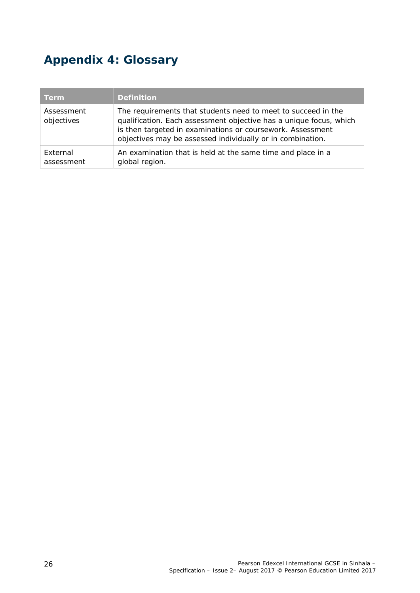# **Appendix 4: Glossary**

| <b>Term</b>              | <b>Definition</b>                                                                                                                                                                                                                                               |
|--------------------------|-----------------------------------------------------------------------------------------------------------------------------------------------------------------------------------------------------------------------------------------------------------------|
| Assessment<br>objectives | The requirements that students need to meet to succeed in the<br>qualification. Each assessment objective has a unique focus, which<br>is then targeted in examinations or coursework. Assessment<br>objectives may be assessed individually or in combination. |
| External<br>assessment   | An examination that is held at the same time and place in a<br>global region.                                                                                                                                                                                   |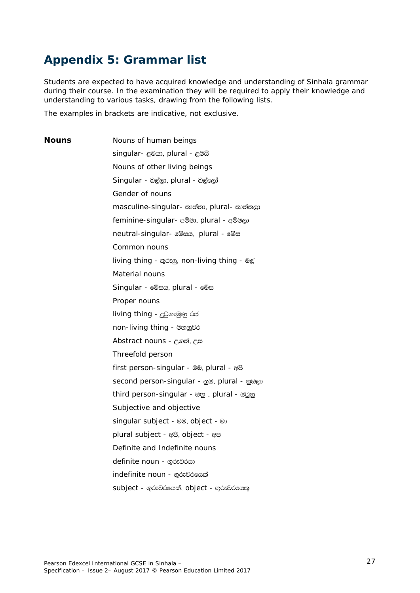# **Appendix 5: Grammar list**

Students are expected to have acquired knowledge and understanding of Sinhala grammar during their course. In the examination they will be required to apply their knowledge and understanding to various tasks, drawing from the following lists.

The examples in brackets are indicative, not exclusive.

**Nouns** Nouns of human beings singular-  $e@@$ , plural -  $e@@$ Nouns of other living beings Singular - @@w, plural - @@@oj Gender of nouns masculine-singular- භාත්තා, plural- භාත්තලා feminine-singular- @iw, plural - @i@@ neutral-singular- @@##, plural - @@# Common nouns living thing - moze, non-living thing - @d Material nouns Singular - @ cx, plural - @ cx Proper nouns living thing - දුටුගැමුණු රජ non-living thing - මහනුවර Abstract nouns - උගත්, උස Threefold person first person-singular -  $@@$ , plural -  $@@$ second person-singular - ppm, plural - ppm third person-singular - @g, plural - @gg Subjective and objective singular subject - @@, object - @ plural subject -  $eB$ , object -  $eB$ Definite and Indefinite nouns definite noun - ගරුවරයා indefinite noun - ගුරුවරයෙක් subject - gózවරයෙක්, object - gózවරයෙකු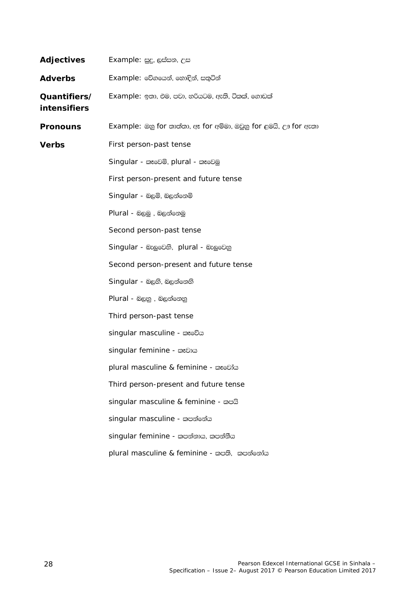| Adjectives                          | Example: සුදු, ලස්සන, උස                                        |
|-------------------------------------|-----------------------------------------------------------------|
| <b>Adverbs</b>                      | Example: වේගයෙන්, හොඳින්, සතුටින්                               |
| Quantifiers/<br><b>intensifiers</b> | Example: ඉතා, එම, පවා, හරියටම, ඇති, ටිකක්, ගොඩක්                |
| <b>Pronouns</b>                     | Example: ඔහු for තාත්තා, ඈ for අම්මා, ඔවුනු for ළමයි, ඌ for ඇතා |
| Verbs                               | First person-past tense                                         |
|                                     | Singular - කෑවෙමි, plural - කෑවෙමු                              |
|                                     | First person-present and future tense                           |
|                                     | Singular - බලමි, බලන්නෙමි                                       |
|                                     | Plural - බලමු, බලන්නෙමු                                         |
|                                     | Second person-past tense                                        |
|                                     | Singular - බැලුවෙහි, plural - බැලුවෙනු                          |
|                                     | Second person-present and future tense                          |
|                                     | Singular - බලති, බලන්නෙහි                                       |
|                                     | Plural - බලනු , බලන්නෙනු                                        |
|                                     | Third person-past tense                                         |
|                                     | singular masculine - xosoDa                                     |
|                                     | singular feminine - xmbp                                        |
|                                     | plural masculine & feminine - කෑවෝය                             |
|                                     | Third person-present and future tense                           |
|                                     | singular masculine & feminine - wech                            |
|                                     | singular masculine - කපන්නේය                                    |
|                                     | singular feminine - කපන්නාය, කපන්නීය                            |
|                                     | plural masculine & feminine - කපති, කපන්නෝය                     |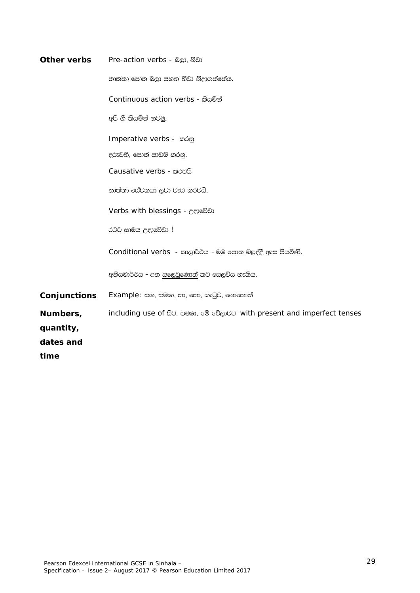| Other verbs  | Pre-action verbs - බලා, නිවා                                           |
|--------------|------------------------------------------------------------------------|
|              | තාත්තා පොත බලා පහන නිවා නිදාගත්තේය.                                    |
|              | Continuous action verbs - කියමින්                                      |
|              | අපි ගී කියමින් නටමු.                                                   |
|              | Imperative verbs - කරනු                                                |
|              | දරුවනි, පොත් පාඩම් කරනු.                                               |
|              | Causative verbs - móoca                                                |
|              | තාත්තා සේවකයා ලවා වැඩ කරවයි.                                           |
|              | Verbs with blessings - උදාවේවා                                         |
|              | රටට සාමය උදාවේවා !                                                     |
|              | Conditional verbs - කාලාර්ථය - මම පොත බලද්දි ඇස පියවිණි.               |
|              | අනියමාර්ථය - අත සලෙවුණොත් කට සෙලවිය හැකිය.                             |
| Conjunctions | Example: සහ, සමඟ, හා, හො, කැටුව, නොහොත්                                |
| Numbers,     | including use of සිට, පමණ, මේ වේලාවට with present and imperfect tenses |
| quantity,    |                                                                        |
| dates and    |                                                                        |
| time         |                                                                        |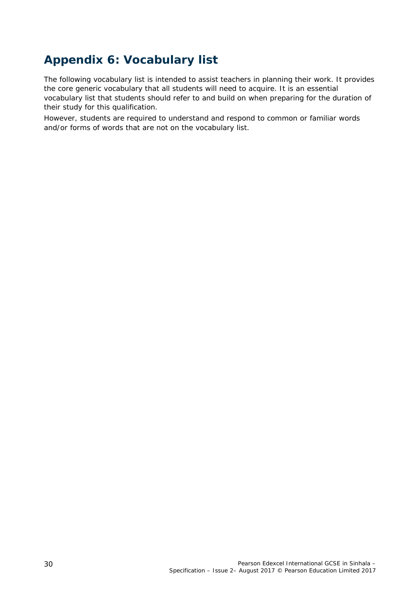# **Appendix 6: Vocabulary list**

The following vocabulary list is intended to assist teachers in planning their work. It provides the core generic vocabulary that all students will need to acquire. It is an essential vocabulary list that students should refer to and build on when preparing for the duration of their study for this qualification.

However, students are required to understand and respond to common or familiar words and/or forms of words that are not on the vocabulary list.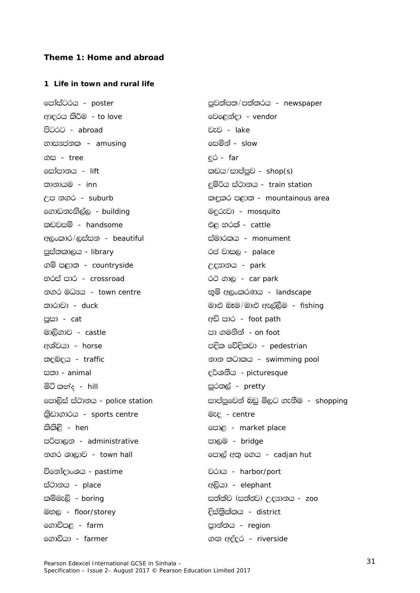#### **Theme 1: Home and abroad**

#### **1 Life in town and rural life**

ආදරය කිරීම - *to love* fight - *vendor* මවළෙන්දා - *vendor* පිටරට - *abroad* jej - *lake* වැව - *lake* හාස<sub>ර්</sub>ජනක – *amusing* final final final final final figure final final final final final final final final final final final final final final final final final final final final final final final final final final final .i - *tree* ÿr - *far*  <u>ිසෝපානය - *lift* lvh - භාගායකය කොට්රියා කාඩය/සාප්පුව - *shop(s)*</u> ;dkdhu - *inn* ÿïßh ia:dkh - *train station* f.dvkeÕs,a, - *building* uÿrejd - *mosquito*   $\Omega$  - *handsome* the cattle  $\partial \mathcal{C}$  හරක් - *cattle* w,xldr\$,iaik - *beautiful* iaudrlh - *monument*  පස්තකාලය - *library* රජ වාසල - *palace*  $\mathfrak{S}$ ම් පළාත - *countryside*  $\mathfrak{S}$ ි - *park* භරස් පාර - *crossroad* රථ ගාල - *car park*  $\infty$ ගර මධාසය - *town centre* New You හම අලංකරණය - *landscape* mQid - *cat* wä mdr - *foot path* මාලිගාව - *castle* md . කොටස් පා ගමනින් - *on foot* අශ්චයා - *horse* media - කොට්ට්රික්කියා පැවති පැවති - *pedestrian* අ i;d - *animal* o¾YkSh - *picturesque* මිටි කන්ද - *hill* is a control in the most pretty in the most in the most in the most in the most in the most i l%svd.drh - *sports centre* ueo - *centre*  lsls<s - *hen* fmd< - *market place* mßmd,k - *administrative* md,u - *bridge*   $\infty$ ර ශාලාව - *town hall* fmd, කෙර පොල් අතු ගෙය - *cadjan hut* විනෝදාංශය - *pastime* in italy in the *pastime* in the *point* in the *point* in the *point* ia:dkh - *place* w,shd - *elephant*  uy, - *floor/storey* Èia;%slalh - *district* f.dúm< - *farm* m%dka;h - *region*  f.dúhd - *farmer* .Õ woaor - *riverside* 

fmdaiagrh - *poster* mqj;am;\$m;a;rh - *newspaper*  $\epsilon$ ප නගර - *suburb*  $\epsilon$  - *mountainous area* ;drdjd - *duck* ud¿ nEu\$ud¿ we,a,Su - *fishing*   $\mathcal{D}\in\mathbb{R}$ විද්ය - *traffic* kdk = භාගාව භාගාව කර්ධානය - *swimming pool* <mark>ිපොලිස් ස්ථා</mark>නය - *police station* සාප්පුවෙන් බඩු මිලට ගැනීම - *shopping*  $\mathbb{E}$ ඕමැලි - *boring* isam - කොට් සත්ත්ව (සත්තුව) උදාහනය - *zoo* 

Pearson Edexcel International GCSE in Sinhala – Specification – Issue 2– August 2017 © Pearson Education Limited 2017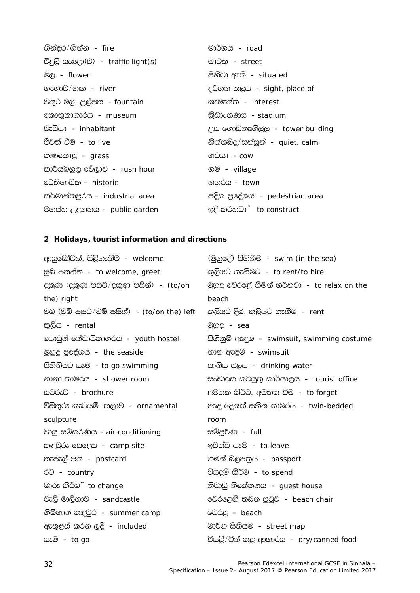| ගින්දර/ගින්න - fire                      | මාර්ගය - <i>road</i>                 |
|------------------------------------------|--------------------------------------|
| විදුලි සංඥා(ව) - <i>traffic light(s)</i> | මාවත - <i>street</i>                 |
| $\mathcal{O}_\mathbb{Q}$ - flower        | පිහිටා ඇති - <i>situated</i>         |
| ගංගාව/ගඟ <i>- river</i>                  | දර්ශන තලය - sight, place of          |
| වතුර මල, උල්පත <i>- fountain</i>         | කැමැත්ත - <i>interest</i>            |
| ෩ොතුකාගාරය - <i>museum</i>               | කිඩාංගණය - stadium                   |
| වැසියා - <i>inhabitant</i>               | උස ගොඩනැගිල්ල - tower building       |
| <u>පීවත් වීම - <i>to live</i></u>        | නිශ්ශබ්ද/සන්සුන් - quiet, calm       |
| තණකොළ - grass                            | ගවයා <i>- cow</i>                    |
| කාර්යබහුල වේලාව <i>- rush hour</i>       | ගම - village                         |
| ඓතිහාසික - <i>historic</i>               | නගරය - <i>town</i>                   |
| කර්මාන්තපුරය - industrial area           | පදික පුදේශය - <i>pedestrian area</i> |
| මහජන උදහානය - <i>public garden</i>       | ඉදි කරනවා <sup>®</sup> to construct  |

## **2 Holidays, tourist information and directions**

| ආයුබෝවන්, පිළිගැනීම - <i>welcome</i>             | (මුහුදේ) පිහිනීම - <i>swim (in the sea)</i> |
|--------------------------------------------------|---------------------------------------------|
| සුබ පතන්න - <i>to welcome, greet</i>             | කුලියට ගැනීමට - to rent/to hire             |
| දකුණ (දකුණු පසට/දකුණු පසින්) <i>- (to/on</i>     | මුහුදු වෙරළේ ගිමන් හරිනවා - to relax on the |
| the) right                                       | beach                                       |
| වම (වම් පසට/වම් පසින්) - <i>(to/on the) left</i> | කුලියට දීම, කුලියට ගැනීම <i>- rent</i>      |
| කුලිය - rental                                   | මුහුද - sea                                 |
| යොවුන් නේවාසිකාගරය - youth hostel                | පිහිනුම් ඇඳුම - swimsuit, swimming costume  |
| <u>මුහුදු</u> පුදේශය - the seaside               | නාන ඇඳුම - swimsuit                         |
| පිහිනීමට යෑම - <i>to go swimming</i>             | පානීය පලය - drinking water                  |
| නානා කාමරය - <i>shower room</i>                  | සංචාරක කටයුතු කාර්යාලය - tourist office     |
| සමරුව - brochure                                 | අමතක කිරීම, අමතක වීම - <i>to forget</i>     |
| විසිතුරු කැටයම් කලාව - <i>ornamental</i>         | ඇඳ දෙකක් සහිත කාමරය - twin-bedded           |
| sculpture                                        | room                                        |
| වායු සමීකරණය - air conditioning                  | සම්පූර්ණ <i>- full</i>                      |
| කඳවුරු පෙදෙස - <i>camp site</i>                  | ඉවත්ව යෑම - <i>to leave</i>                 |
| තැපැල් පත - postcard                             | ගමන් බලපතුය - passport                      |
| ó <sup>0</sup> - country                         | වියදම් කිරීම - <i>to spend</i>              |
| මාරු කිරීම <sup></sup> to change                 | නිවාඩු නිකේතනය - guest house                |
| වැලි මාලිගාව - sandcastle                        | වෙරළෙහි තබන පුටුව - <i>beach chair</i>      |
| ගිම්භාන කඳවුර - <i>summer camp</i>               | මවරළ - <i>beach</i>                         |
| ඇතුළත් කරන ලදී - included                        | මාර්ග සිතියම - <i>street map</i>            |
| යෑම - <i>to go</i>                               | වියළි/ටින් කළ ආහාරය - dry/canned food       |
|                                                  |                                             |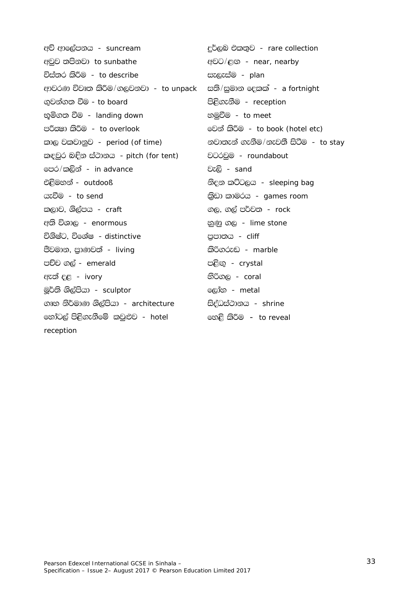අව් ආලේපනය - suncream දුර්ලබ එකතුව - rare collection අවුව තපිනවා to sunbathe අවට/ළඟ - near, nearby විස්තර කිරීම - to describe සැලැස්ම - plan සති/සුමාන දෙකක් - a fortnight ආවරණ විවෘත කිරීම/ගලවනවා - to unpack පිළිගැනීම - reception ගුවන්ගත වීම - to board භූමිගත වීම - *landing down* හමුවීම - *to meet* පරිකුමා කිරීම - to overlook මෙන් කිරීම - to book (hotel etc) කාල වකවානුව - period (of time) නවාතැන් ගැනීම/නැවතී සිටීම - to stay කඳවුර බඳින ස්ථානය - pitch (for tent) වටරවුම - roundabout පෙර/කලින් - in advance වැලි - sand එළිමහන් - outdooß නිදන කට්ටලය - sleeping bag යැවීම - to send කුිඩා කාමරය - games room කලාව, ශිල්පය - craft ගල, ගල් පර්වත *- rock* අති විශාල - *enormous* නුණු ගල - lime stone විශිෂ්ට, විශේෂ - distinctive පුපාතය - cliff පීවමාන, පුාණවත් - living කිරිගරුඬ - marble පච්ච ගල් - emerald පළිඟු - crystal ඇත් දළ - *ivory* තිරිගල - coral ලෝහ - *metal* මුර්ති ශිල්පියා - *sculptor* ගෘහ නිර්මාණ ශිල්පියා - architecture සිද්ධස්ථානය - shrine හෝටල් පිළිගැනීමේ කවුළුව - hotel හෙළි කිරීම – to reveal reception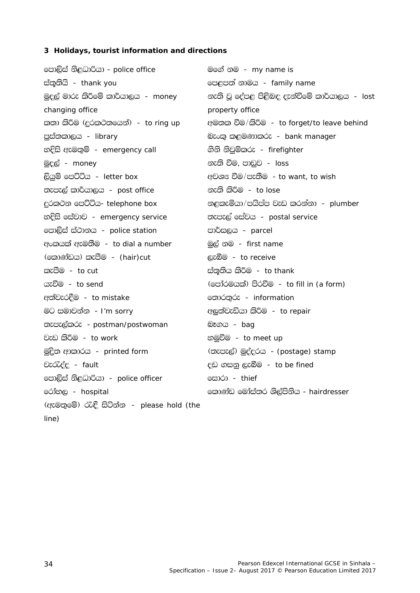# 3 Holidays, tourist information and directions

| පොලිස් නිළධාරියා - <i>police office</i>    | මගේ නම <i>- my name is</i>                          |
|--------------------------------------------|-----------------------------------------------------|
| ස්තූතියි - thank you                       | පෙළපත් නාමය - family name                           |
| මුදල් මාරු කිරීමේ කාර්යාලය <i>- money</i>  | නැති වූ දේපළ පිළිබඳ දැන්වීමේ කාර්යාලය <i>- lost</i> |
| changing office                            | property office                                     |
| කතා කිරීම (දුරකථනයෙන්) <i>- to ring up</i> | අමතක වීම/කිරීම - to forget/to leave behind          |
| පුස්තකාලය - library                        | බැංකු කළමණාකරු - bank manager                       |
| හදිසි ඇමතුම් - <i>emergency call</i>       | ගිනි නිවුම්කරු - firefighter                        |
| <u>මුදල් - <i>money</i></u>                | නැති වීම, පාඩුව <i>- loss</i>                       |
| ලියුම් පෙට්ටිය - <i>letter box</i>         | අවශ¤ වීම/පැතීම - to want, to wish                   |
| තැපැල් කාර්යාලය - <i>post office</i>       | නැති කිරීම <i>- to lose</i>                         |
| දුරකථන පෙට්ටිය- telephone box              | නළකැමියා/පයිප්ප වැඩ කරන්නා - plumber                |
| හදිසි සේවාව - <i>emergency service</i>     | තැපැල් සේවය - postal service                        |
| පොලිස් ස්ථානය - <i>police station</i>      | පාර්සලය - parcel                                    |
| අංකයක් ඇමතීම - <i>to dial a number</i>     | මුල් නම - first name                                |
| (කොණ්ඩය) කැපීම - <i>(hair)cut</i>          | ලැබීම - <i>to receive</i>                           |
| කැපීම - <i>to cut</i>                      | ස්තූතිය කිරීම - <i>to thank</i>                     |
| යැවීම - <i>to send</i>                     | (පෝරමයක්) පිරවීම - <i>to fill in (a form)</i>       |
| අත්වැරදීම - <i>to mistake</i>              | හොරතුරු - information                               |
| මට සමාවන්න  - I <i>'m sorry</i>            | අලුත්වැඩියා කිරීම - to repair                       |
| තැපැල්කරු - postman/postwoman              | <u> බෑගය - <i>bag</i></u>                           |
| වැඩ කිරීම - to work                        | හමුවීම - <i>to meet up</i>                          |
| මුදිත ආකාරය - printed form                 | (තැපැල්) මුද්දරය - (postage) stamp                  |
| වැරැද්ද <i>- fault</i>                     | දඩ ගසනු ලැබීම - <i>to be fined</i>                  |
| පොලිස් නිළධාරියා - police officer          | සොරා - thief                                        |
| රෝහල - <i>hospital</i>                     | කොණ්ඩ මෝස්තර ශිල්පිනිය - hairdresser                |
| (ඇමතුමේ) රැඳී සිටින්න - please hold (the   |                                                     |
| line)                                      |                                                     |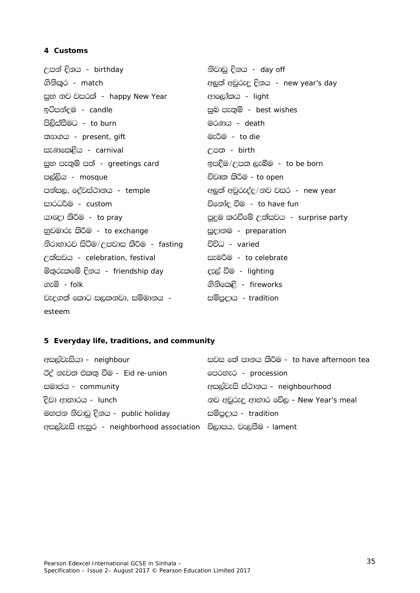### 4 Customs

නිවාඩු දිනය - day off උපන් දිනය - birthday ගිනිකර - *match* අලුත් අවුරුදු දිනය - new year's day සුභ නව වසරක් - happy New Year ආලෝකය - *light* ඉටිපන්දම - candle සුබ පැතුම් - best wishes පිලිස්සීමට - to burn මරණය - death මැරීම - to die තනාගය - present, gift සැණකෙළිය - carnival උපත - birth සුභ පැතුම් පත් - greetings card ඉපදීම/උපත ලැබීම - to be born පල්ලිය - *mosque* විවෘත කිරීම - to open පන්සල, දේවස්ථානය - temple අලුත් අවුරුද්ද/නව වසර - new year සාරධර්ම - custom විනෝද වීම - to have fun යාඥා කිරීම - to pray පුදුම කරවීමේ උත්සවය - surprise party භුවමාරු කිරීම - to exchange සූදානම - preparation නිරාහාරව සිටීම/උපවාස කිරීම - fasting විවිධ - varied උත්සවය - celebration, festival සැමරීම - to celebrate මිතුරුකමේ දිනය - friendship day දැල් වීම - lighting ගැමි - folk ගිනිකෙළි - fireworks වැදගත් කොට සලකනවා. සම්මානය -සම්පුදාය - tradition esteem

### 5 Everyday life, traditions, and community

| සවස මේ පානය කිරීම - to have afternoon tea                        |
|------------------------------------------------------------------|
| පෙරහැර - procession                                              |
| අසල්වැසි ස්ථානය - neighbourhood                                  |
| නව අවුරුදු ආහාර වේල - New Year's meal                            |
| සම්පුදාය - <i>tradition</i>                                      |
| අසල්වැසි ඇසුර - neighborhood association විලාපය, වැලපීම - lament |
|                                                                  |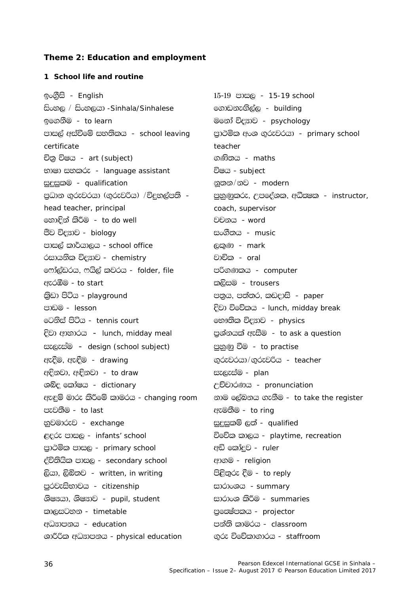### **Theme 2: Education and employment**

### **1 School life and routine**

<u>ඉංගීසි - *English* 15-19 පාසල - *15-19 school*</u> i'xy, \$ i'xy,hd *-Sinhala/Sinhalese* f.dvkeÕs,a, - *building* bf.kSu - *to learn* ufkda úμdj - *psychology*  පාසල් අස්වීමේ සහතිකය - *school leaving certificate*  Ñ;% úIh - *art (subject)* .Ks;h - *maths*  භාෂා සහකරු - *language assistant* විෂය - *subject* සුදුසුකම - *qualification* නූතන/නව - *modern* පුධාන ගුරුවරයා (ගුරුවරිය) / විදුහල්පති *head teacher, principal* fyd`Èka lsÍu - *to do well* jpkh - *word*  Ôj úμdj - *biology* ix.S;h - *music*  පාසල් කාර්යාලය - *school office* , ලකුණ - *mark* ්සායනික විදහාව - *chemistry* වාචික - *oral* f\*da,avrh" \*hs,a ljrh - *folder, file* mß.Klh - *computer*   $\alpha$ සැරඹීම - *to start* l, start and a කාලිසම - *trousers* l%svd msáh - *playground* m;%h" m;a;r" lvodis - *paper*  mdvu - *lesson* Èjd úfõlh - *lunch, midday break* fgksia msáh - *tennis court* fN!;sl úμdj - *physics*  <u>දිවා ආහාරය – *lunch, midday meal* පුශ්නයක් ඇසීම - *to ask a question*</u> සැලැස්ම - *design (school subject)* පුහුණු වීම - *to practise* we§u" we£u - *drawing* .=rejrhd\$.=rejßh - *teacher*  wÈkjd" w¢kjd - *to draw* ie,eiau - *plan*  ශබ්ද කෝෂය - *dictionary* උච්චාරණය - *pronunciation* ඇඳුම් මාරු කිරීමේ කාමරය - *changing room* නාම ලේඛනය ගැනීම - *to take the register* පැවතීම - *to last* website to ring පැවතීම - *to ring* yqjudrej - *exchange* iqÿiqlï ,;a - *qualified*  ළදරු පාසල - *infants' school* විමව්ක කාලය - *playtime, recreation* පාථමික පාසල - *primary school* අඩි කෝදුව - *ruler* oaú;shsl mdi, - *secondary school* wd.u - *religion* ලියා, ලිබිතව - *written, in writing* මෙම පිළිතුරු දීම - *to reply* පුරවැසිභාවය - *citizenship* සාරාංශය - *summary* ශිෂායා, ශිෂාාව - *pupil, student* සාරාංශ කිරීම - *summaries* ld,igyk - *timetable* m%fËamlh - *projector* wOHdmkh - *education* mka;s ldurh - *classroom*  YdÍßl wOHdmkh - *physical education* .=re úfõld.drh - *staffroom* 

පාථමික අංශ ගුරුවරයා - *primary school teacher* mqyqKqlre" WmfoaYl" wëËl - *instructor, coach, supervisor*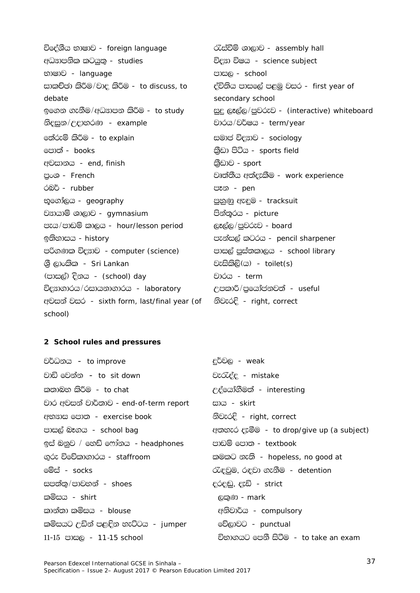විදේශීය භාෂාව - foreign language අධඐපනික කටයුතු - studies භාෂාව - *language* සාකච්ඡා කිරීම/වාද කිරීම - to discuss, to debate ඉගෙන ගැනීම/අධඍපන කිරීම - to study නිදසුන/උදාහරණ - example රෝරුම් කිරීම - to explain පොත් - *books* අවසානය - end, finish පුංශ - French රබර් - rubber භූගෝලය - *geography* වසායාම් ශාලාව - gymnasium පැය/පාඩම් කාලය - hour/lesson period ඉතිහාසය - history පරිගණක විදහව - computer (science) ශී ලාංකික - *Sri Lankan* (පාසල්) දිනය - *(school) day* විදහාගාරය/රසායනාගාරය - laboratory අවසන් වසර - sixth form, last/final year (of school)

රැස්වීම් ශාලාව - assembly hall විදහා විෂය - science subject පාසල - school ද්විතිය පාසලේ පළමු වසර - first year of secondary school සුදු ලෑල්ල/පුවරුව - (interactive) whiteboard වාරය/වර්ෂය - term/year සමාජ විදහව - sociology කීඩා පිටිය - sports field කීඩාව - sport වෘත්තීය අත්දැකීම - work experience පෑන - pen පුහුණු ඇඳුම - tracksuit පින්තූරය - picture ලෑල්ල/පුවරුව - board පැන්සල් කටරය - pencil sharpener පාසල් පස්තකාලය - school library වැසිකිලි(ය) - toilet(s) වාරය - term උපකාරී/පුයෝජනවත් - useful නිවැරදි - right, correct

### 2 School rules and pressures

| වර්ධනය – <i>to improve</i>                | <u>දුර්වල - <i>weak</i></u>              |
|-------------------------------------------|------------------------------------------|
| වාඩි මෙන්න <i>– to sit down</i>           | වැරැද්ද - mistake                        |
| කතාබහ කිරීම - <i>to chat</i>              | උද්යෝගීමත් - interesting                 |
| වාර අවසන් වාර්තාව - end-of-term report    | සාය - <i>skirt</i>                       |
| අභඍස පොත - exercise book                  | නිවැරදි - right, correct                 |
| පාසල් බෑගය <i>- school bag</i>            | අතහර දැමීම - to drop/give up (a subject) |
| ඉස් බනුව / හෙඩ් ෆෝනය <i>- headphones</i>  | පාඩම් පොත - <i>textbook</i>              |
| ගුරු විවේකාගාරය - <i>staffroom</i>        | කමකට නැති - hopeless, no good at         |
| මේස් - <i>socks</i>                       | රැඳවුම, රඳවා ගැනීම - detention           |
| සපත්තු/පාවහන් - <i>shoes</i>              | දරදඬු, දැඩි - strict                     |
| කමි <del>ස</del> ය - shirt                | ලකුණ <i>- mark</i>                       |
| කාන්තා කමිසය <i>- blouse</i>              | අනිවාර්ය <i>- compulsory</i>             |
| කමිසයට උඩින් පළඳින හැට්ටය <i>- jumper</i> | වේලාවට - <i>punctual</i>                 |
| 11-15 පාසල - <i>11-15 school</i>          | විභාගයට පෙනී සිටීම - to take an exam     |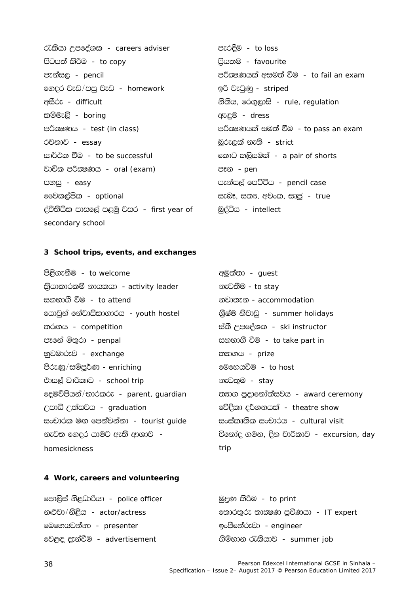රැකියා උපදේශක - careers adviser පිටපත් කිරීම - *to copy* පැන්සල - *pencil* ගෙදුර වැඩ/පසු වැඩ - homework අසීරු - difficult කම්මැලි - boring පරීකුෂණය - test (in class) රචනාව - essay සාර්ථක වීම - to be successful වාචික පරීකුෂණය - oral (exam) පහසු - easy මෙවකල්පික - optional ද්විතියික පාසලේ පළමු වසර - first year of secondary school

පැරදීම - to loss පියතම - favourite පරීකුෂණයක් අසමත් වීම - to fail an exam ඉරි වැටුණු - striped හීතිය, රෙගුලාසි - rule, regulation ඇඳම - dress පරීකුෂණයක් සමත් වීම - to pass an exam බුරුලක් නැති - strict කොට කලිසමක් - a pair of shorts පෑන - pen පැන්සල් පෙට්ටිය - pencil case සැබෑ, සතය, අවංක, සෘජු - true බුද්ධිය - *intellect* 

#### 3 School trips, events, and exchanges

පිළිගැනීම - to welcome ඛ්යාකාරකම් නායකයා - activity leader සහභාගී වීම - *to attend* යොවුන් නේවාසිකාගාරය - youth hostel තරගය - competition පෑනේ මිතුරා - penpal නුවමාරුව - exchange පිරුණු/සම්පුර්ණ - enriching එාසල් චාරිකාව - school trip දෙමච්පියන්/භාරකරු - parent, guardian උපාධි උත්සවය - graduation සංචාරක මඟ පෙන්වන්නා - tourist quide නැවත ගෙදුර යාමට ඇති ආශාව – homesickness

අමුත්තා - guest නැවතීම - *to stay* නවාතැන - accommodation ශිෂ්ම නිවාඩ - summer holidays ස්කී උපදේශක - ski instructor සහභාගී වීම - to take part in ත<sub>3</sub>ාගය - prize මෙහෙයවීම - *to host* නැවතුම - stay තහාග පුදානෝත්සවය - award ceremony වේදිකා දර්ශනයක් - theatre show සංස්කෘතික සංචාරය - cultural visit විනෝද ගමන, දින චාරිකාව - excursion, day trip

#### 4 Work, careers and volunteering

| පොලිස් නිළධාරියා - <i>police officer</i> | මුදුණ කිරීම - <i>to print</i>     |
|------------------------------------------|-----------------------------------|
| නළුවා/නිළිය - <i>actor/actress</i>       | තොරතුරු තාසමණ පුවිණයා - IT expert |
| මෙහෙයවන්නා - presenter                   | <u>ඉංජිනේරුවා - engineer</u>      |
| වෙළඳ දැන්වීම - <i>advertisement</i>      | ගිම්හාන රැකියාව - summer job      |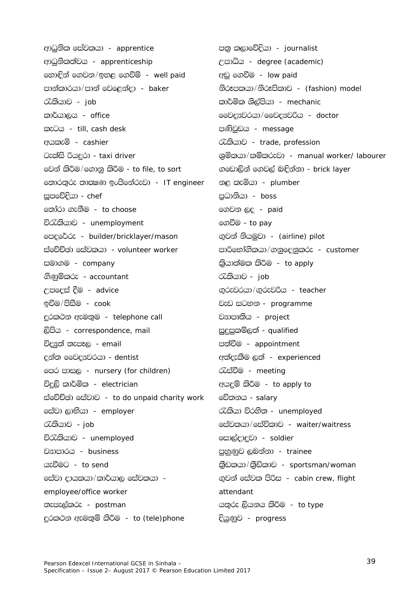ආධුනික සේවකයා - *apprentice* ආධුනිකත්වය - apprenticeship හොඳින් ගෙවන/ඉහළ ගෙවීම් - *well paid* පාන්කාරයා/පාන් වෙළෙන්දා - baker රැකියාව - *iob* කාර්යාලය - office කැටය - till, cash desk අයකැමි - cashier ටැක්සි රියදරා - taxi driver මෙන් කිරීම/ගොනු කිරීම - to file, to sort හොරතුරු තාකුෂණ ඉංජිනේරුවා - IT engineer සුපමේදියා - *chef* තෝරා ගැනීම - to choose විරැකියාව - unemployment මපදුමර්රු - builder/bricklayer/mason ස්වේච්ඡා සේවකයා - volunteer worker සමාගම - company ගිණුම්කරු - accountant උපදෙස් දීම - advice ඉවීම/පිසීම - cook දුරකථන ඇමතුම - telephone call ලිපිය - correspondence, mail විදුපුත් තැපෑල - email දන්ත මෛදෘවරයා - dentist මපර පාසල - nursery (for children) විදුලි කාර්මික - electrician ස්වේච්ඡා සේවාව - to do unpaid charity work සේවා ලාභියා - employer රැකියාව - *job* විරැකියාව - unemployed වසාපාරය - business යැවීමට - to send සේවා දායකයා/කාර්යාල සේවකයා employee/office worker නැපැල්කරු - postman දුරකථන ඇමතුම් කිරීම - to (tele)phone

පනු කලාවේදියා - journalist උපාධිය - degree (academic) අඩු ගෙවීම - low paid නිරූපකයා/නිරූපිකාව - (fashion) model කාර්මික ශිල්පියා - *mechanic* මෙව් exed con/ මෛදාවරිය - doctor පණිවඩය - *message* රැකියාව - trade, profession ශුමිකයා/කම්කරුවා - manual worker/labourer ගඩොලින් ගෙවල් බඳින්නා - brick layer නළ කැමියා - plumber පුධානියා - boss ගෙවන ලද - *paid* ගෙවීම - *to pay* ගුවන් නියමුවා - *(airline) pilot* පාරිභෝගිකයා/ගනුදෙනුකරු - customer බුයාත්මක කිරීම - *to apply* රැකියාව - *job* ගුරුවරයා/ගුරුවරිය - teacher වැඩ සටහන - programme වසාපෘතිය - project සුදුසුකම්ලත් - qualified පත්වීම - appointment අත්දැකීම ලත් - experienced රැස්වීම - meeting අයදුම් කිරීම - to apply to වේතනය - salary රැකියා විරහිත - unemployed eස්වකයා/සේවිකාව - waiter/waitress සොල්දාදවා - soldier පහුණුව ලබන්නා - trainee බුඩකයා/කුීඩිකාව - sportsman/woman ගුවන් සේවක පිරිස - cabin crew, flight attendant යතුරු ලියනය කිරීම - to type දියුණුව - *progress*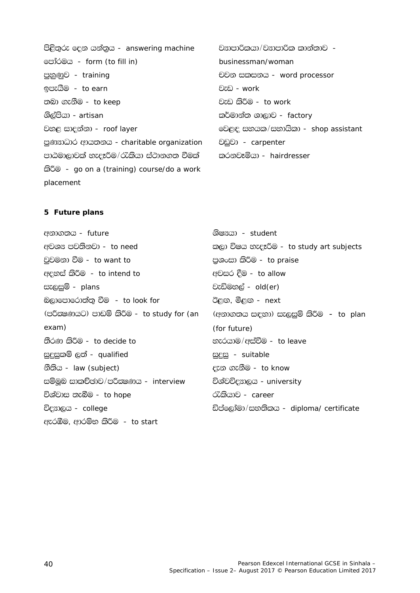පිළිතුරු දෙන යන්තුය - answering machine පෝරමය - form (to fill in) පුහුණුව - training ඉපැයීම - to earn තබා ගැනීම - *to keep* ශිල්පියා - artisan වහළ සාදන්නා - roof layer පුණාසාධාර ආයතනය - charitable organization පාඨමාලාවක් හැදෑරීම/රැකියා ස්ථානගත වීමක් කිරීම - go on a (training) course/do a work placement

වසාපාරිකයා/වසාපාරික කාන්තාව businessman/woman ච්චන සකසනය - word processor වැඩ - work වැඩ කිරීම - *to work* කර්මාන්ත ශාලාව - factory වෙළඳ සහයක/සභායිකා - shop assistant වඩුවා - carpenter කරනවෑමියා - hairdresser

# 5 Future plans

අනාගතය - future අවශ<sup>ය</sup> පවතිනවා - *to need* වුවමනා වීම - to want to අදහස් කිරීම - to intend to සැලසුම් - plans බලාපොරොත්තු වීම - to look for (පරීකුෂණයට) පාඩම් කිරීම - to study for (an  $exam)$ තීරණ කිරීම - to decide to සුදුසුකම් ලත් - qualified හීතිය - law (subject) සම්මුඛ සාකච්ඡාව/පරීකුෂණය - interview විශ්වාස තැබීම - to hope විදහාලය - college ඇරඹීම, ආරම්භ කිරීම - to start

ශිෂ¤යා - *student* කලා විෂය හැදෑරීම - to study art subjects පුශංසා කිරීම - to praise අවසර දීම - to allow වැඩිමහල් - old(er) ඊළඟ, මීළඟ - next (අනාගතය සඳහා) සැලසුම් කිරීම - to plan (for future) හැරයාම/අස්වීම - to leave සුදුසු - suitable දැන ගැනීම - to know විශ්වවිදහාලය - university රැකියාව - career ඩිප්ලෝමා/සහතිකය - diploma/ certificate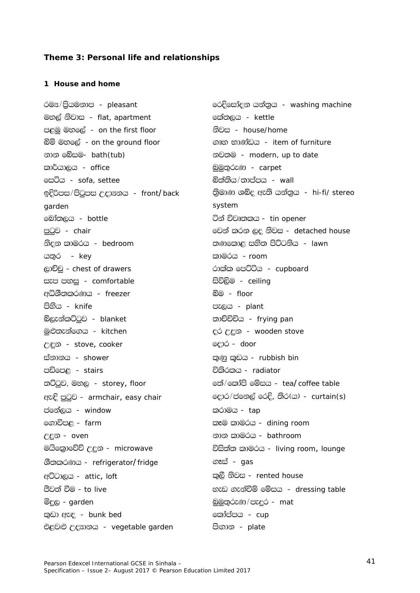### Theme 3: Personal life and relationships

### 1 House and home

රම<sup>ස</sup>/පියමනාප - pleasant මහල් නිවාස - flat, apartment පළමු මහලේ - on the first floor බිම් මහලේ - on the ground floor නාන ම**බ්ස**ම- bath(tub) කාර්යාලය - office සෙටිය - sofa, settee ඉදිරිපස/පිටුපස උදා¤නය - front/back garden බෝතලය - *bottle* පටුව - chair නිදන කාමරය - bedroom යතුර *- key* ලාච්චු - chest of drawers සැප පහසු - comfortable අධිශීතකරණය - freezer පිහිය - knife බ්ලැන්කට්ටුව - blanket මුළුතැන්ගෙය - kitchen උඳුන - stove, cooker ස්නානය - *shower* පඩිපෙළ - stairs තට්ටුව, මහල - storey, floor ඇඳි පුටුව - armchair, easy chair ජමන්ලය - *window* ගොවිපළ - farm උදන - oven මයිකොවේච් උදුන - *microwave* ශීතකරණය - refrigerator/fridge අට්ටාලය - attic, loft පීවත් වීම - to live මිදුල - garden කුඩා ඇඳ - bunk bed එළවළු උදහානය - vegetable garden

රෙදිසෝදන යන්තය - washing machine කේතලය - kettle නිවස - house/home ගෘහ භාණ්ඩය - item of furniture නවතම - modern, up to date <u>බමුතුරුණු - carpet</u> බිත්තිය/තාප්පය - *wall* තිමාණ ශබ්ද ඇති යන්තුය - hi-fi/ stereo system ටින් විවෘතකය - tin opener මවන් කරන ලද නිවස - detached house තණුකොළ සුනිත පිට්ටනිය *- Jawn* කාමරය *- room* රාක්ක පෙට්ටිය - cupboard සිවිලිම - ceiling බිම - floor පැලය - plant තාච්චිචිය - frying pan දර උදුන - wooden stove ලොර - *door* කුණු කුඩය - rubbish bin විකිරකය - *radiator* නේ/කෝපි මේසය - teal coffee table ලදාර/ජනෙල් රෙදි, තිර(ය) - curtain(s) කරාමය - *tap* කෑම කාමරය - dining room නාන කාමරය - bathroom විසිත්ත කාමරය - living room, lounge ගෑස් - *gas* කුලී නිවස - rented house හැඩ ගැන්වීම් මේසය - dressing table බුමුතුරුණ/පැදුර - *mat* කෝප්පය - *cup* පිගාන - plate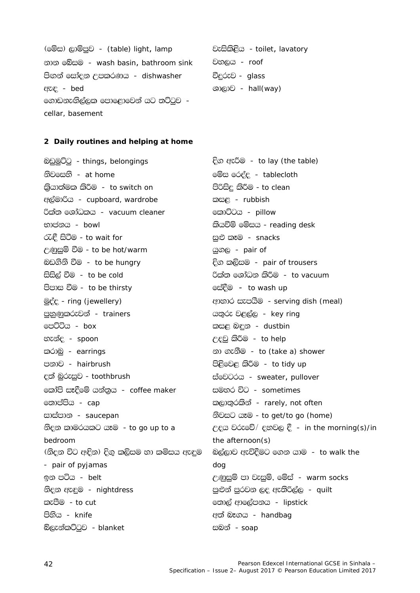| (මේස) ලාම්පුව - <i>(table) light, lamp</i> | වැසිකිළිය - toilet, lavatory  |
|--------------------------------------------|-------------------------------|
| නාන බේසම -  wash basin, bathroom sink      | වහලය <i>- roof</i>            |
| පිඟන් සෝදන උපකරණය <i>- dishwasher</i>      | වීදුරුව - <i>glass</i>        |
| ඇඳ <i>- bed</i>                            | $\Theta$ $\Theta$ - hall(way) |
| ගොඩනැඟිල්ලක පොළොවෙන් යට තට්ටුව -           |                               |
| cellar, basement                           |                               |

#### 2 Daily routines and helping at home

බඩුමුට්ටු - things, belongings නිවසෙහි - at home ඛ්යාත්මක කිරීම - to switch on අල්මාරිය - cupboard, wardrobe රික්ත ශෝධකය - vacuum cleaner භාජනය - bowl රැඳී සිටීම - to wait for උණුසුම් වීම - to be hot/warm බඩගිනි වීම - *to be hungry* සිසිල් වීම - to be cold පිපාස වීම - to be thirsty මුද්ද - ring (jewellery) පහුණුකරුවන් - trainers පෙට්ටිය - *box* හැන්ද - spoon කරාබ - earrings පනාව - hairbrush දත් බුරුසුව - toothbrush හෝපි සෑදීමේ යන්තය - coffee maker නොප්පිය - *cap* සාස්පාන - saucepan නිදන කාමරයකට යෑම - to go up to a bedroom (නිදන විට අඳින) දිග කලිසම හා කමිසය ඇඳම - pair of pyjamas ඉන පටිය *- belt* නිදන ඇඳුම - nightdress කැපීම - *to cut* පිහිය - knife බ්ලැන්කට්ටුව - blanket

දිග ඇරීම - to lay (the table) මේස රෙද්ද - tablecloth පිරිසිදු කිරීම - to clean කසඳ - rubbish කොට්ටය - *pillow* කියවීම් මේසය - reading desk සුළු කෑම - snacks යුගල - pair of දිග කලිසම - pair of trousers රික්ත ශෝධන කිරීම - to vacuum ිස්දීම − to wash up ආහාර සැපයීම - serving dish (meal) යුතුරු වළල්ල - key ring කසළ බඳුන - dustbin උදවු කිරීම - to help නා ගැනීම - to (take a) shower පිළිවෙළ කිරීම - to tidy up tioDO63 - sweater, pullover සමහර විට - sometimes කලාතුරකින් - rarely, not often නිවසට යෑම - to get/to go (home) උදය වරුවේ/ දහුවල දී - in the morning(s)/in the afternoon $(s)$ බල්ලාව ඇවිදීමට ගෙන යාම - to walk the dog උණුසුම් පා වැසුම්, මේස් - warm socks පුළුන් පුරවන ලද ඇතිරිල්ල *- quilt* තොල් ආලේපනය - lipstick අත් බෑගය - handbag සබන් - *soap*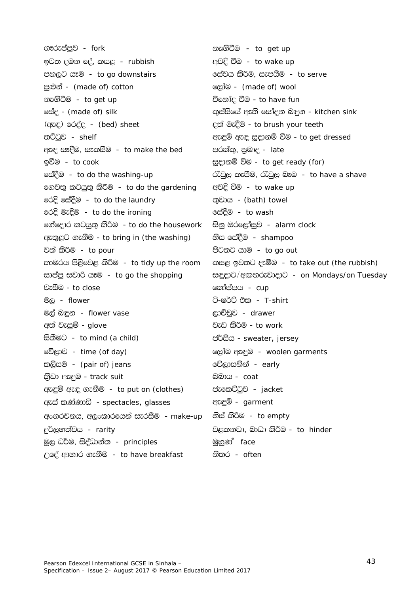ගෑරුප්පුව - fork ඉවත දමන දේ, කසළ - rubbish පහලට යෑම - to go downstairs පුළුන් - (made of) cotton නැගිටීම - to get up ලස්ද - (made of) silk (ඇඳ) රෙද්ද - (bed) sheet තට්ටුව - shelf ඇඳ සෑදීම, සැකසීම - to make the bed ඉවීම - to cook මස්දීම - to do the washing-up ගෙවනු කටයුතු කිරීම - to do the gardening රෙදි සේදීම - to do the laundry රෙදි මැදීම - to do the ironing ගේදොර කටයුතු කිරීම - to do the housework ඇතුළට ගැනීම - to bring in (the washing) වත් කිරීම - *to pour* කාමරය පිළිවෙළ කිරීම - to tidy up the room සාප්පු සවාරි යෑම - to go the shopping වැසීම - to close මල - flower මල් බඳන - flower vase අත් වැසුම් - glove සිතීමට - to mind (a child) වේලාව - time (of day) කලිසම - (pair of) jeans කීඩා ඇඳම - track suit ඇඳුම් ඇඳ ගැනීම - to put on (clothes) ඇස් කණ්ණාඩි - spectacles, glasses අංගරචනය. අලංකාරයෙන් සැරසීම - make-up eර්ලභත්වය - rarity මූල ධර්ම, සිද්ධාන්ත - principles උදේ ආහාර ගැනීම - to have breakfast

නැගිටීම – *to get up* අවදි වීම - to wake up සේවය කිරීම, සැපයීම - to serve ලෝම - (made of) wool විනෝද වීම - to have fun කුස්සියේ ඇති සෝදන බඳුන - kitchen sink දුන් මැදීම - to brush your teeth ඇඳුම් ඇඳ සූදානම් වීම - to get dressed පරක්කු, පුමාද - *late* සූදානම් වීම - to get ready (for) රැවුල කැපීම, රැවුල බෑම - to have a shave අවදි වීම - to wake up තුවාය - (bath) towel සේදීම - to wash සීනු ඔරලෝසුව - alarm clock හිස සේදීම - shampoo පිටතට යාම - to go out කසඳු ඉවතට දැමීම - to take out (the rubbish) සඳුදාට/අඟහරුවාදාට - on Mondays/on Tuesday කෝප්පය - cup ටී-ෂර්ට් එක - *T-shirt* ලාච්චුව - drawer වැඩ කිරීම - to work ප්ර්සිය - sweater, jersey ලෝම ඇඳුම - woolen garments වේලාසනින් - early <u> බබාය - coat</u> ප්තුම් - jacket ඇඳුම් - garment හිස් කිරීම - *to empt*v වළකුනවා. බාධා කිරීම - to hinder මහුණ් face

නිතර - *often*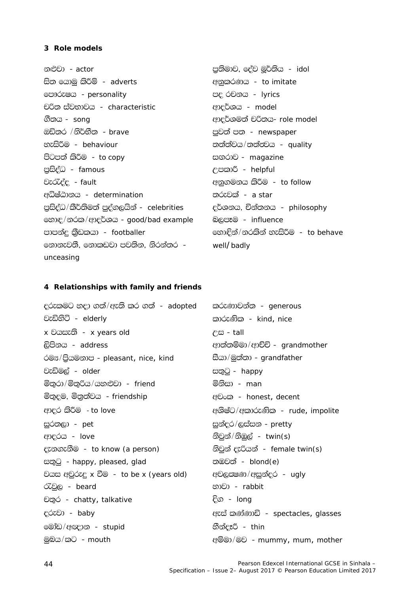#### 3 Role models

නළුවා *- actor* සිත යොමු කිරීම් - adverts ලපාරුෂය - personality චරිත ස්වභාවය - characteristic ගීතය - *song* ඔඩිතර /නිර්භීත - brave හැසිරීම - *behaviour* පිටපත් කිරීම *- to copy* පුසිද්ධ - famous වැරැද්ද - fault අධිෂ්ඨානය - determination පුසිද්ධ/කීර්තිමත් පුද්ගලයින් - celebrities හොඳ/නරක/ආදර්ශය - good/bad example පාපන්දු කීඩකයා - footballer නොනැවතී. නොකඩවා පවතින. නිරන්තර unceasing

පුතිමාව, ජේව මුර්තිය - *idol* අනුකරණය - to imitate පද රචනය - *lyrics* ආදර්ශය - *model* ආදර්ශමත් චරිතය- role model පුවත් පත *- newspaper* තත්ත්වය/තත්තුවය - quality සඟරාව - magazine උපකාරී - helpful අනුගමනය කිරීම - to follow තරුවක් - *a star* දර්ශනය, චින්තනය - philosophy බලපෑම - influence හොඳින්/නරකින් හැසිරීම - to behave well/badly

### 4 Relationships with family and friends

දරුකමට හදා ගත්/ඇති කර ගත් *- adopted* වැඩිහිටි - elderly x වයසැති - x years old ලිපිනය - *address* රම<sup>න</sup>/පියමනාප - pleasant, nice, kind වැඩිමල් - older මිතුරා/මිතුරිය/යුහුළුවා - friend මිතුදම, මිනුත්වය - friendship ආදර කිරීම - to love සුරතලා - pet ආදරය - love දැනගැනීම - to know (a person) සතුටු - happy, pleased, glad වයස අවුරුදු x වීම - to be x (years old) රැවුල - beard චතර - chatty, talkative දරුවා - baby මෝඩ/අඥාන - stupid මුබය/කට *- mouth* 

කරුණාවන්ත - generous කාරුණික - kind. nice  $f \ddot{\approx} - t \dot{a}$ ආත්තම්මා/ආච්චි - arandmother සීයා/මුත්තා - grandfather සතුටු - happy මිනිසා - *man* අවංක - honest, decent අශිෂ්ට/අකාරුණික - rude, impolite සුන්දර/ලස්සන - pretty නිවුන්/නිඹුල් -  $twin(s)$ නිවුන් දැරියන් - female twin(s) තඹවත් - *blond(e)* අවලසමණ/අසුන්දර - ugly භාවා - *rabbit* <u>දිග - Iong</u> ඇස් කණ්ණාඩි - spectacles, glasses හීන්දෑරී - thin ඇම්මා/මව - mummy, mum, mother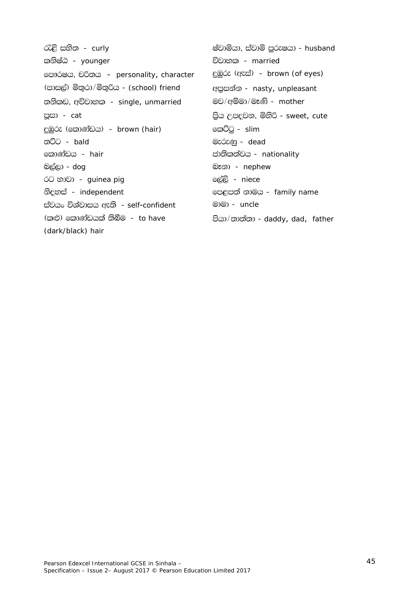රැළි සහිත - curly කනිෂ්ඨ - younger ලපාරෂය, චරිතය - personality, character (පාසල්) මිතුරා/මිතුරිය - (school) friend තනිකඩ, අවිවාහක - single, unmarried පුසා - cat දුඹුරු (කොණ්ඩය) - brown (hair) ත**ි**ට - bald කොණ්ඩය - *hair* බල්ලා - *dog* රට භාවා - *guinea pig* නිදහස් - independent ස්වයං විශ්වාසය ඇති - self-confident (කළු) කොණ්ඩයක් තිබීම - to have (dark/black) hair

ෂ්වාමියා, ස්වාමි පුරුෂයා - husband විවාහක - married දුඹුරු (ඇස්) - brown (of eyes) අපුසන්න - nasty, unpleasant මව/අම්මා/මෑනි - mother පිය උපදවන, මිහිරි - sweet, cute කෙට්ටු - *slim* මැරුණු - dead ජාතිකත්වය - nationality බෑනා - nephew ලේලි - niece ලපළපත් නාමය - family name මාමා - *uncle* පියා/තාත්තා - daddy, dad, father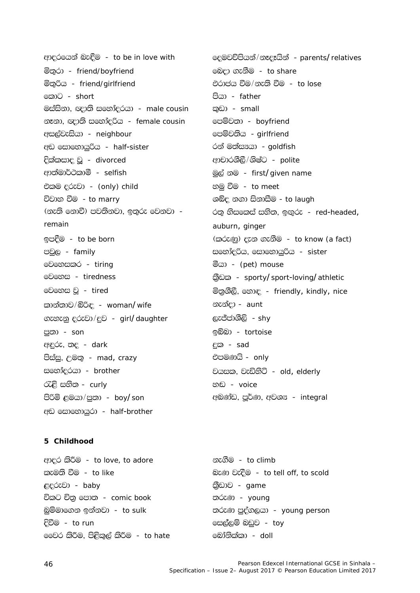ආදරයෙන් බැඳීම - to be in love with මිතුරා - friend/boyfriend මිතුරිය - friend/girlfriend කොට - short මස්සිනා, ඥාති සහෝදරයා - male cousin නෑනා, ඥාති සංහා්දරිය - female cousin අසල්වැසියා - neighbour අඩ සොහොයුරිය - half-sister දික්කසාද වූ - divorced ආත්මාර්ථකාමි - selfish එකම දුරුවා - (only) child විවාහ වීම - to marry (නැති නොවී) පවතිනවා, ඉතුරු වෙනවා remain ඉපදීම - to be born පවුල - family ©වහෙසකර - tiring මෙහෙස - tiredness මුව වි - tired කාන්තාව/බිරිඳ - woman/wife ගැහැනු දරුවා/දුව - girl/daughter පුතා - son අඳුරු, තද - dark පිස්සු, උමතු - *mad, crazy* සහෝදරයා - brother රැළි සහිත - curly පිරිමි ළමයා/පුතා - boy/son අඩ සොහොයුරා - half-brother

# ලදමවච්පියන්/නෑදෑයින් - parents/relatives මෙදා ගැනීම - to share එරාජය වීම/නැති වීම - to lose පියා - father කඩා - *small* පෙම්වතා - boyfriend පෙම්වතිය - girlfriend රන් මත්සායා - goldfish ආචාරශීලී/ශිෂ්ට - polite මුල් නම - first/given name හමු වීම - *to meet* ශබ්ද නගා සිනාසීම - to laugh රතු නිසකෙස් සහිත, ඉඟුරු - red-headed, auburn, ginger (කරුණු) දැන ගැනීම - to know (a fact) සහෝදරිය, සොහොයුරිය - sister මීයා - (pet) mouse කුීඩක - sporty/sport-loving/athletic මිතුශීලී, හොඳ - friendly, kindly, nice නැන්දා - aunt ලැජ්ජාශීලි - *shy* <u>ඉ</u>බ්බා - *tortoise* දක - sad එපමණයි - only වයසක, වැඩිහිටි - old, elderly හඬ - *voice*

### 5 Childhood

ආදර කිරීම - to love, to adore කැමුති වීම - *to like* ළදරුවා - baby විකට චිතු පොත - comic book බුම්මාගෙන ඉන්නවා - to sulk දිවීම - to run මෛර කිරීම, පිළිකුල් කිරීම - to hate

නැගීම - to climb බැණු වැදීම - to tell off, to scold කීඩාව - *game* තරුණ - young තරුණ පුද්ගලයා - young person සෙල්ලම් බඩුව - toy බෝනික්කා - *doll* 

අබුණ්ඩ, පර්ණ, අවශ<sup>უ</sup> - integral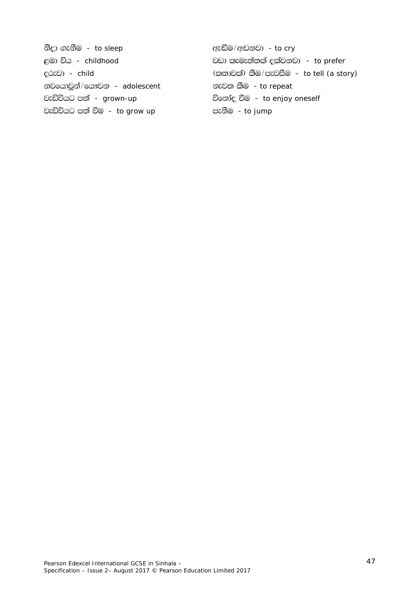භිදා ගැනීම - *to sleep* web and the crycle of a crycle of  $\mathbb{R}^n$  and  $\mathbb{R}^n$  - *to cry* ළමා විය - *childhood* වඩා කැමැත්තක් දක්වනවා - *to prefer* <u>දරුවා - *child* (කතාවක්) කීම/පැවසීම - *to tell (a story)*</u> භවයොවුන්/යෞවන - *adolescent* හැවත කීම - *to repeat* වැඩිවියට පත් - *grown-up* විනෝද වීම - *to enjoy oneself* වැඩිවියට පත් වීම - *to grow up* පැනීම - *to jump*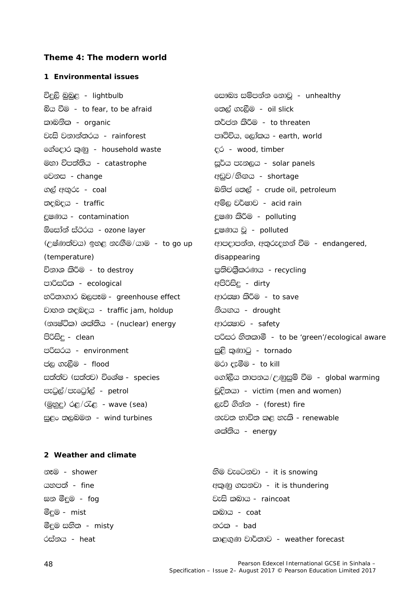### Theme 4: The modern world

#### 1 Environmental issues

විදුලි බුබුළ - lightbulb බිය වීම - to fear, to be afraid කාබනික - *organic* වැසි වනාන්තරය - rainforest ගේදොර කුණු - household waste මහා විපත්තිය - catastrophe මෙනස - change ගල් අගුරු - *coal* තදබදය - traffic දූෂණය - contamination ඕසෝන් ස්ථරය - ozone layer (උෂ්ණත්වය) ඉහළ නැඟීම/යාම - to go up (temperature) විනාශ කිරීම - *to destroy* පාරිසරික - ecological හරිතාගාර බලපෑම - greenhouse effect වාහන තදබදය - traffic jam, holdup (න<sup>පු</sup>ටික) ශක්තිය - *(nuclear) energy* පිරිසිද - clean පරිසරය - environment ජල ගැලීම - flood සත්ත්ව (සත්තු) විශේෂ - species පැටුල්/පැටෝල් - petrol  $(@pE)$   $@pE/@E$  - wave (sea) සුළං තලබමන - wind turbines

eසාබය සම්පන්න නොවු - unhealthy හෙල් ගැලීම - oil slick තර්ජන කිරීම - *to threaten* පෘථිවිය. ලෝකය - earth, world ¿ó - wood, timber සූර්ය පැනලය - solar panels අඩුව/හිගය - shortage බනිජ හෙල් - crude oil, petroleum අම්ල වර්ෂාව - acid rain දූෂණ කිරීම - polluting දුෂණය වූ - polluted ආපදාපන්න, අතුරුදහන් වීම - endangered, disappearing පුතිචබුිකරණය - recycling අපිරිසිදු - dirty ආරකමා කිරීම - to save නියඟය - drought ආරක්ෂාව - safety පරිසර හිතකාමී - to be 'green'/ecological aware සුළි කුණාටු - tornado මරා දැමීම - to kill ගෝලීය තාපනය/උණුසුම් වීම - global warming චුදිතයා - victim (men and women) ලැව් ගින්න - *(forest) fire* නැවත භාවිත කළ හැකි - renewable ශක්තිය - energy

### 2 Weather and climate

නෑම - shower යහපත් - fine ඝන මීදුම *- fog* මීදුම - *mist* මීදුම සහිත - *misty* රස්නය - heat

හිම වැටෙනවා - it is snowing ඇකුණු ගසනවා - it is thundering වැසි කුබාය - raincoat කු<u>බාය - *coat*</u> නරක *- bad* කාළගුණ වාර්තාව - weather forecast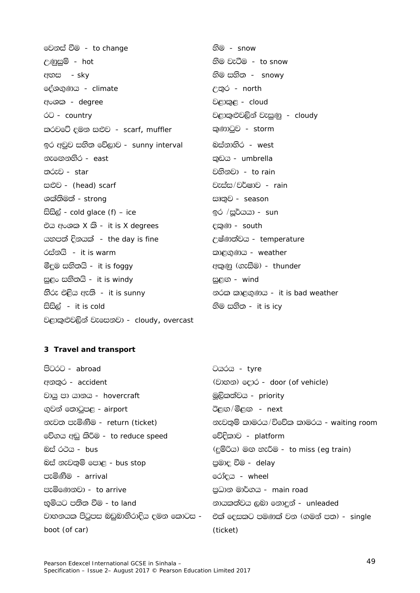මෙනස් වීම - to change <u>උණුසුම් - hot</u> අහස - sky දේශගුණය - climate අංශක - *degree* ó0 - country කරවටේ දමන සළුව - scarf, muffler ඉර අවුව සහිත වේලාව - sunny interval නැගෙනහිර - east තරුව - star සළුව - (head) scarf ශක්තිමත් - strong සිසිල් -  $cold$  glace  $(f)$  – ice එය අංශක  $X$  කි - it is  $X$  degrees යනපත් දිනයක් - the day is fine රස්නයි - *it is warm* මීදුම සහිතයි - *it is foggy* සුළං සහිතයි - it is windy හිරු එළිය ඇති - it is sunny සිසිල් - it is cold වළාකුළුවලින් වැසෙනවා - cloudy, overcast

හිම - *snow* හිම වැටීම - to snow හිම සහිත - *snowv* උතුර - north වළාකුළ - cloud වළාකුළුවලින් වැසුණු - cloudy කුණාටුව - storm බස්නාහිර - west කුඩය - umbrella වහිනවා - *to rain* වැස්ස/වර්ෂාව - rain සෘතුව - season ඉර /සූර්යයා - sun දකුණ - south උෂ්ණත්වය - temperature කාළගණය - weather ඇකුණු (ගැසීම) - thunder සුළග - wind නරක කාළගුණය - it is bad weather හිම සහිත - *it is icy* 

### 3 Travel and transport

| Ocsócs - tyre                                                                  |
|--------------------------------------------------------------------------------|
| (වාහන) දොර - <i>door (of vehicle)</i>                                          |
| මූලිකත්වය - priority                                                           |
| ඊළඟ/මීළඟ - <i>next</i>                                                         |
| නැවතුම් කාමරය/විවේක කාමරය - waiting room                                       |
| වේදිකාව - <i>platform</i>                                                      |
| (දම්රිය) මඟ හැරීම - to miss (eg train)                                         |
| පුමාදු වීම - <i>delay</i>                                                      |
| රෝදය - <i>wheel</i>                                                            |
| පුධාන මාර්ගය - main road                                                       |
| නායකත්වය ලබා නොදුන් - <i>unleaded</i>                                          |
| වාහනයක පිටුපස බඩුබාහිරාදිය දමන කොටස -    එක් දෙසකට පමණක් වන (ගමන් පත) - single |
| (ticket)                                                                       |
|                                                                                |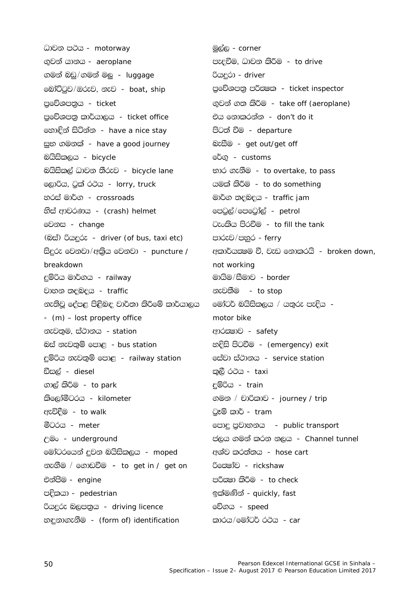ධාවන පථය - motorway ගුවන් යානය - aeroplane ගමන් බඩු/ගමන් මල *- luggage* මෝට්ටුව/ඔරුව, නැව - boat, ship පුවේශපතුය - ticket පුවේශපතු කාර්යාලය - ticket office හොඳින් සිටින්න - have a nice stay සුභ ගමනක් - have a good journey බයිසිකලය - bicycle බයිසිකල් ධාවන තීරුව - bicycle lane ලොරිය, ටුක් රථය - lorry, truck හරස් මාර්ග - crossroads හිස් ආවරණය - (crash) helmet මෙනස - change (බස්) රියදුරු - driver (of bus, taxi etc) සිදුරු වෙනවා/අකිය වෙනවා - puncture / breakdown දුම්රිය මාර්ගය - railway වාහන තදබදය - traffic නැතිවූ දේපළ පිළිබඳ වාර්තා කිරීමේ කාර්යාලය - (m) – lost property office නැවතුම, ස්ථානය - station බස් නැවතුම් පොළ - bus station දුම්රිය නැවතුම් පොළ - railway station ඩීසල් - *diesel* ගාල් කිරීම - *to park* කිලෝමීටරය - kilometer ඇවිදීම - to walk මීටරය - *meter* ← underground මෝටරයෙන් දවන බයිසිකලය *- moped* නැඟීම / ගොඩවීම - to get in / get on එන්පීම - engine පදිකයා - pedestrian රියදුරු බලපතුය - driving licence නඳනාගැනීම - (form of) identification

<u>මුල්ල - corner</u> පැදුවීම, ධාවන කිරීම - to drive රියදරා - driver පුවේශපතු පරීකෂක - ticket inspector ගුවන් ගත කිරීම - take off (aeroplane) එය නොකරන්න *- don't do it* පිටත් වීම - departure බැසීම - get out/get off රේගු - *customs* භාර ගැනීම - to overtake, to pass යමක් කිරීම - to do something මාර්ග තදබදය - traffic jam පෙටුල්/පෙටෝල් - petrol ටැංකිය පිරවීම - to fill the tank පාරුව/පහුර - ferry අකාර්යස ම වී. වැඩ නොකරයි - broken down, not working මායිම/සීමාව - border නැවතීම - *to stop* මෝටර් බයිසිකලය / යතුරු පැදිය motor bike ආරක්ෂාව - safety හදිසි පිටවීම - (emergency) exit eස්වා ස්ථානය - service station කුලී රථය - *taxi* දම්රිය - *train* ගමන / චාරිකාව - journey / trip ටෑම් කාර් - *tram* පොදු පුවාහනය - public transport ජලය ගමන් කරන නලය - Channel tunnel අශ්ව කරත්තය - hose cart රිගෙෂා්ව - rickshaw පරිකුමා කිරීම - *to check* ඉක්මණින් - quickly, fast වේගය - *speed* කාරය/මෝටර් රථය *- car*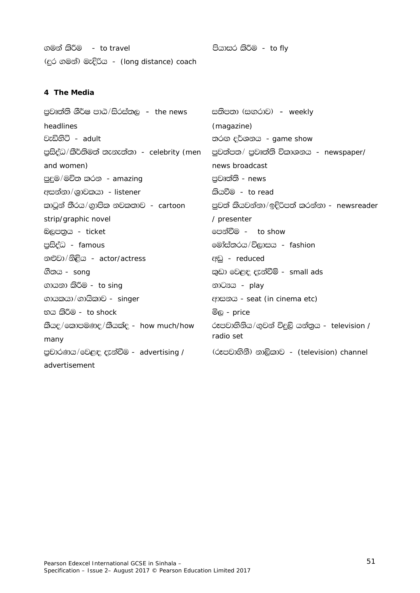ගමන් කිරීම - to travel (දුර ගමන්) මැදිරිය - (long distance) coach

පියාසර කිරීම - to fly

# 4 The Media

| පුවෘත්ති ශීර්ෂ පාඨ/සිරස්තල  –  the news                                                        | සතිපතා (සඟරාව) <i>– weekly</i>                  |
|------------------------------------------------------------------------------------------------|-------------------------------------------------|
| headlines                                                                                      | (magazine)                                      |
| වැඩිහිටි - <i>adult</i>                                                                        | තරග දර්ශනය <i>- game show</i>                   |
| පුසිද්ධ/කීර්තිමත් තැනැත්තා - <i>celebrity (men</i>                                             | පුවත්පත/ පුවෘත්ති විකාශනය <i>- newspaper/</i>   |
| and women)                                                                                     | news broadcast                                  |
| පුදුම/මචිත කරන - amazing                                                                       | පුවෘත්ති - <i>news</i>                          |
| අසන්නා/ශුාවකයා - listener                                                                      | කියවීම - <i>to read</i>                         |
| කාටූන් තීරය/ගුාපික නවකතාව <i>- cartoon</i>                                                     | පුවත් කියවන්නා/ඉදිරිපත් කරන්නා - newsreader     |
| strip/graphic novel                                                                            | / presenter                                     |
| බලපතුය - <i>ticket</i>                                                                         | පෙන්වීම - <i>to show</i>                        |
| පුසිද්ධ - <i>famous</i>                                                                        | මෝස්තරය/විලාසය - fashion                        |
| නළුවා/නිළිය - <i>actor/actress</i>                                                             | eel - reduced                                   |
| ගීතය - <i>song</i>                                                                             | කුඩා වෙළඳ දැන්වීම් - <i>small ads</i>           |
| ගායනා කිරීම - <i>to sing</i>                                                                   | නාටයය - play                                    |
| ගායකයා/ගායිකාව - singer                                                                        | ආසනය - seat (in cinema etc)                     |
| භය කිරීම - <i>to shock</i>                                                                     | මිල - <i>price</i>                              |
| කීයද/කොපමණද/කීයක්ද - how much/how                                                              | රූපවාහිනිය/ගුවන් විදුලි යන්තුය - $television /$ |
| many                                                                                           | radio set                                       |
| පුචාරණය/වෙළඳ දැන්වීම - advertising /         (රූපවාහිනී) නාලිකාව - <i>(television) channel</i> |                                                 |
| advertisement                                                                                  |                                                 |
|                                                                                                |                                                 |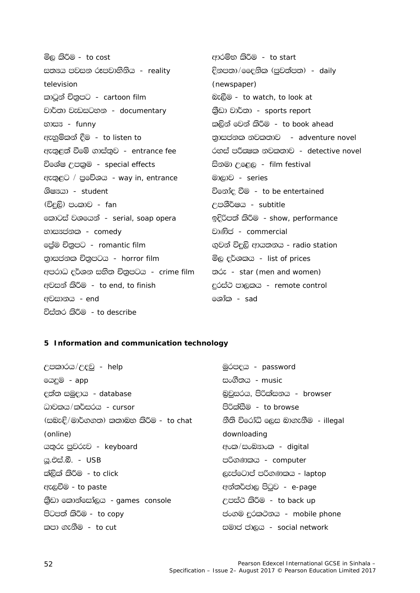මිල කිරීම - to cost ආරම්භ කිරීම - to start සුනය පවසන රූපවාහිනිය - reality දිනපතා/දෛනික (පුවත්පත) - daily television (newspaper) කාටුන් චිතුපට - cartoon film බැලීම - to watch, to look at වාර්තා වැඩසටහන - documentary කීඩා වාර්තා - sports report භාස<sub>3</sub> - funny කලින් වෙන් කිරීම - to book ahead ඇහුම්කන් දීම - to listen to තාසජනක නවකතාව - adventure novel ඇතුළත් වීමේ ගාස්තුව - entrance fee රහස් පරීකුෂක නවකතාව - detective novel විශේෂ උපකුම - special effects සිනමා උළෙල - film festival ඇතුළට / පුවේශය - way in, entrance මාලාව - series ශිෂායා - *student* විනෝද වීම - to be entertained (විදුලි) පංකාව - *fan* උපශීර්ෂය - *subtitle* කොටස් වශයෙන් - serial, soap opera ඉදිරිපත් කිරීම - show, performance වාණිජ - commercial භාස<sub>3</sub>ප්නක - comedy ලේම චිතුපට - romantic film ගුවන් විදුලි ආයුතනය - radio station තාසජනක චිතුපටය - horror film මිල දර්ශකය - list of prices අපරාධ දර්ශන සහිත චිතුපටය *- crime film* σότ - star (men and women) අවසන් කිරීම - to end, to finish දුරස්ථ පාලකය - remote control අවසානය - end @ශාීක - *sad* විස්තර කිරීම - to describe

#### 5 Information and communication technology

උපකාරය/උදව - help මුරපදය - password යෙදුම - app සංගීතය - *music* දුන්ත සමුදාය - database බුවුසරය, පිරික්සනය - browser ධාවකය/කර්සරය - cursor පිරික්සීම - to browse (සබැඳි/මාර්ගගත) කතාබහ කිරීම - to chat නීති විරෝධි ලෙස බාගැනීම *- illegal* (online) downloading cagóc aedco - keyboard අංක/සංඛනාංක - digital <u>යු.එස්.බී. - USB</u> පරිගණකය - computer ක්ලික් කිරීම - to click ලැප්ටොප් පරිගණකය - laptop ඇලවීම - to paste අන්තර්ජාල පිටුව - e-page කුිඩා කොන්සෝලය - games console උපස්ථ කිරීම - to back up පිටපත් කිරීම - *to copv* ප්ංගම දුරකථනය - mobile phone කපා ගැනීම - *to cut* සමාජ ජාලය - social network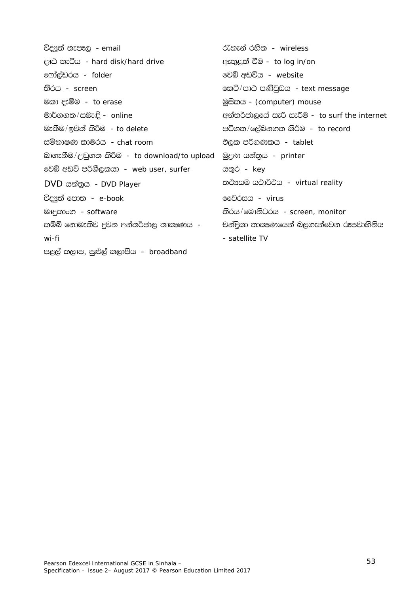| විද <u>¤ු</u> ත් තැපෑල <i>- email</i>         | රැහැන් රනිත - <i>wireless</i>                 |
|-----------------------------------------------|-----------------------------------------------|
| දෘඪ තැටිය - hard disk/hard drive              | ඇතුළත් වීම - <i>to log in/on</i>              |
| ෆෝල්ඩරය - <i>folder</i>                       | මෙබ් අඩවිය - <i>website</i>                   |
| තිරය - <i>screen</i>                          | කෙටි/පාඨ පණිවුඩය <i>- text message</i>        |
| මකා දැමීම <i>- to erase</i>                   | මූසිකය - <i>(computer) mouse</i>              |
| මාර්ගගත/සබැඳි - <i>online</i>                 | අන්තර්ජාලයේ සැරි සැරීම - to surf the internet |
| මැකීම/ඉවත් කිරීම - <i>to delete</i>           | පටිගත/ලේබනගත කිරීම - <i>to record</i>         |
| සම්භාෂණ කාමරය <i>- chat room</i>              | එලක පරිගණකය <i>- tablet</i>                   |
| බාගැනීම/උඩුගත කිරීම - to download/to upload   | මුදුණ යන්තුය <i>- printer</i>                 |
| වෙබ් අඩවි පරිශීලකයා - <i>web user, surfer</i> | යතුර - <i>key</i>                             |
| DVD යන්තුය <i>- DVD Player</i>                | තථාසම යථාර්ථය - virtual reality               |
| විද¤ුත් පොත <i>- e-book</i>                   | මෙවරසය <i>- virus</i>                         |
| මෘදුකාංග <i>- software</i>                    | තිරය/මොනිටරය - screen, monitor                |
| කම්බි නොමැතිව දුවන අන්තර්ජාල තාකුෂණය  -       | චන්දිකා තාකුෂණයෙන් බලගැන්වෙන රූපවාහිනිය       |
| wi-fi                                         | - satellite TV                                |
| පළල් කලාප, පුළුල් කලාපීය <i>- broadband</i>   |                                               |
|                                               |                                               |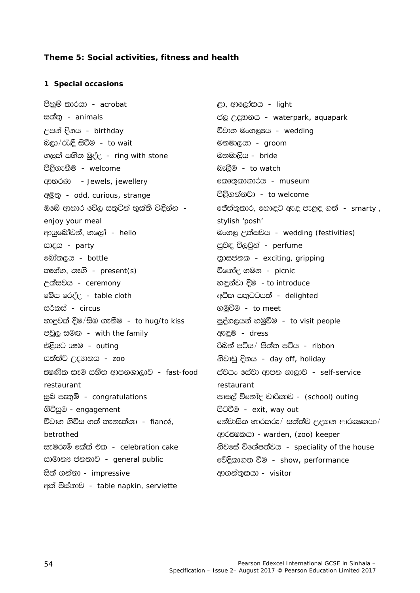### Theme 5: Social activities, fitness and health

### 1 Special occasions

පිහුම් කාරයා - acrobat සුන්ත - animals උපන් දිනය - birthday බලා/රැඳී සිටීම - to wait ගලක් සහිත මුද්ද - ring with stone පිළිගැනීම - welcome ආභරණ - Jewels, jewellery අමුතු - odd, curious, strange ඔබේ ආහාර වේල සතටින් භක්ති විඳින්න enjoy your meal ආයුබෝවන්, හලෝ - hello සාදය - party බෝතලය - bottle තෑග්ග, තෑගි - present(s) උත්සවය - ceremony මේස රෙද්ද - table cloth සර්කස් - circus හාදුවක් දීම/සිඹ ගැනීම - to hug/to kiss පවුල සමග - with the family එළියට යෑම - outing සත්ත්ව උදහානය *- zoo* සෂණික කෑම සහිත ආපනශාලාව - fast-food restaurant සුබ පැතුම් - congratulations ගිවිසුම - engagement විවාහ ගිවිස ගත් තැනැත්තා *- fiancé.* betrothed සැමරුම් කේක් එක - celebration cake සාමාන<sup> ජනතාව -</sup> general public සිත් ගන්නා - impressive අත් පිස්නාව - table napkin, serviette

ළා, ආලෝකය - *light* ප්ල උදහානය - waterpark, aquapark විවාහ මංගලයය - wedding මනමාලයා - *groom* මනමාලිය - *bride* බැලීම - *to watch* ෩ොතුකාගාරය - *museum* පිළිගන්නවා - to welcome ජේත්තුකාර, හොඳට ඇඳ පැළඳ ගත් - smarty, stvlish 'posh' මංගල උත්සවය - wedding (festivities) සුවඳ විලවුන් - perfume තාසජනක - exciting, gripping විනෝද ගමන *- picnic* හඳුන්වා දීම - to introduce අධික සතුටටපත් - delighted හමුවීම - to meet පුද්ගලයන් හමුවීම - to visit people **CEC** - dress රිබන් පටිය/ පීත්ත පටිය *- ribbon* නිවාඩු දිනය - day off, holiday ස්වයං සේවා ආපන ශාලාව - self-service restaurant පාසල් විනෝද චාරිකාව - (school) outing පිටවීම - exit, way out නේවාසික භාරකරු/ සත්ත්ව උදහන ආරකෂකයා/ ආරකෂකයා - warden, (zoo) keeper නිවසේ විශේෂත්වය - speciality of the house වේදිකාගත වීම - show, performance ආගන්තුකයා - visitor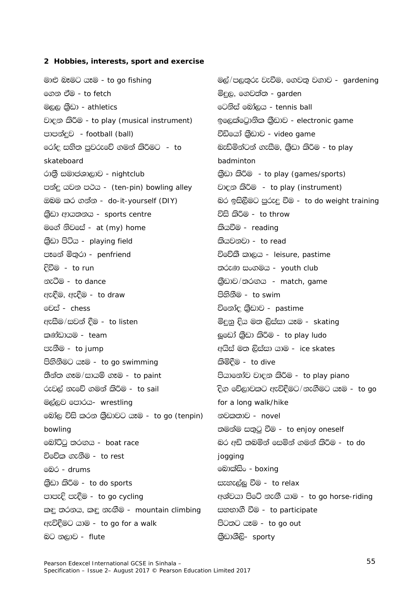### 2 Hobbies, interests, sport and exercise

මාළු බෑමට යෑම - to go fishing ගෙන ඒම - *to fetch* මලල කීඩා - athletics වාදන කිරීම - to play (musical instrument) පාපන්දුව - football (ball) රෝද සහිත පුවරුවේ ගමන් කිරීමට - to skateboard රාතී සමාජශාලාව - nightclub පන්දු යවන පථය - (ten-pin) bowling alley ඔබම කර ගන්න - do-it-yourself (DIY) කුිඩා ආයතනය - sports centre මගේ නිවසේ - at (my) home කුිඩා පිටිය - playing field පෑනේ මිතුරා - penfriend <u> දිවීම - to run</u> නැටීම - to dance ඇඳීම, ඇදීම - to draw ම<del>ච්</del>ස් - chess ඇසීම/සවන් දීම - to listen කුණ්ඩායම - *team* පැනීම - to jump පිහිනීමට යෑම - to go swimming තීන්ත ගෑම/සායම් ගෑම - to paint රුවල් නැවේ ගමන් කිරීම - to sail මල්ලව පොරය- wrestling බෝල විසි කරන කුීඩාවට යෑම - to go (tenpin) bowling බෝට්ටු තරඟය - boat race විවේක ගැනීම - *to rest* මේර - drums කීඩා කිරීම - *to do sports* පාපැදි පැදීම - to go cycling කඳු තරනය, කඳු නැඟීම - mountain climbing ඇවිදීමට යාම - to go for a walk බට නලාව - *flute* 

මල්/පලතුරු වැවීම, ගෙවතු වගාව -  $g$ ardening මිදල, ගෙවත්ත - garden ©ටනිස් බෝලය - tennis ball ඉලෙක්ටොනික කීඩාව - electronic game වීඩියෝ බුීඩාව - video game බැඩ්මින්ටන් ගැසීම, කීඩා කිරීම - to play badminton කුිඩා කිරීම - to play (games/sports) වාදන කිරීම - to play (instrument) බර ඉසිලීමට පුරුදු වීම - to do weight training විසි කිරීම - to throw කියවීම - reading කියවනවා - to read විවේකී කාලය - leisure, pastime තරුණ සංගමය - youth club කීඩාව/තරඟය - match, game පිහිනීම - to swim විනෝද කීඩාව - pastime මිදනු දිය මත ලිස්සා යෑම - *skating* ලුඩෝ කීඩා කිරීම - to play ludo අයිස් මත ලිස්සා යාම - ice skates කිමිදීම - to dive පියානෝව වාදන කිරීම - to play piano දිග වේලාවකට ඇවිදීමට/නැගීමට යෑම - to go for a long walk/hike නවකතාව - novel තමන්ම සතුටු වීම - to enjoy oneself බර අඩි තබමින් සෙමින් ගමන් කිරීම - to do jogging මොක්සිං - *boxing* සැහැල්ල වීම - to relax අශ්වයා පිටේ නැඟී යාම - to go horse-riding සහභාගී වීම - to participate පිටතට යෑම - to go out කීඩාශීලි- sporty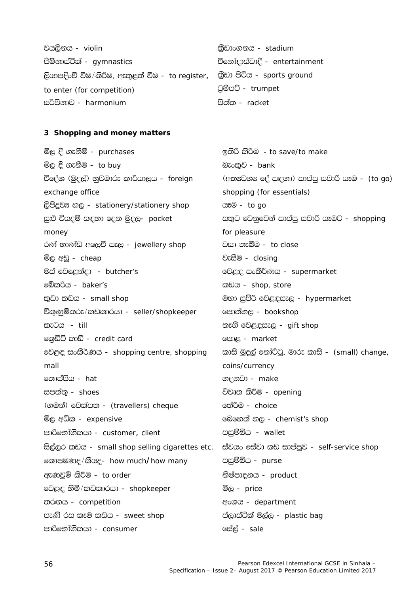| වයලිනය - <i>violin</i>                                                    | කීඩාංගනය - <i>stadium</i>    |
|---------------------------------------------------------------------------|------------------------------|
| පිම්නාස්ටික් - gymnastics                                                 | විනෝදාස්වාදී - entertainment |
| ලියාපදිංචි වීම/කිරීම, ඇතුළත් වීම - to register, ඕඩා පිටිය - sports ground |                              |
| to enter (for competition)                                                | <u>ටුම්පට් - trumpet</u>     |
| සර්පිනාව - <i>harmonium</i>                                               | පිත්ත - <i>racket</i>        |

#### 3 Shopping and money matters

මිල දී ගැනීම් - *purchases* ඉතිරි කිරීම - to save/to make මිල දී ගැනීම - *to buy* බැංකුව - *bank* විදේශ (මුදල්) හුවමාරු කාර්යාලය - foreign (අතුෂවශය දේ සඳහා) සාප්පු සවාරි යෑම - *(to go)* exchange office shopping (for essentials) ලිපිදුව<sup>ය</sup> හල - stationery/stationery shop යෑම - to go සුළු වියදම් සඳහා දෙන මුදල- pocket සතුට වෙනුවෙන් සාප්පු සවාරි යෑමට - shopping money for pleasure වසා තැබීම - *to close* රණ් භාණ්ඩ අලෙවි සැල - jewellery shop වැසීම - closing මිල අඩු - *cheap* මස් වෙළෙන්දා - butcher's වෙළඳ සංකීර්ණය - supermarket බේකුරිය - *haker's* කඩය - shop, store කුඩා කඩය - small shop මහා සුපිරි වෙළඳසැල - hypermarket විකුණුම්කරු/කඩකාරයා - seller/shopkeeper පොත්හල - *bookshop* කැටය - *till* තෑගි වෙළඳසැල - gift shop ගොඩිට් කාඩ් - credit card පොළ - market වෙළඳ සංකීර්ණය - shopping centre, shopping කාසි මුදල් නෝට්ටු, මාරු කාසි - *(small) change,* mall coins/currency තොප්පිය - hat හදනවා - make සපත්ත - *shoes* විවෘත කිරීම - opening (ගමන්) මචක්පත - (travellers) cheque නේරීම - *choice* මෙහෙත් හල - *chemist's shop* මිල අධික - *expensive* පසුම්බිය - wallet පාරිභෝගිකයා - customer, client සිල්ලර කඩය - small shop selling cigarettes etc. ස්වයං සේවා කඩ සාප්පුව - self-service shop පසුම්බිය - purse කොපමණද/කීයද- how much/how many ඇණවුම් කිරීම - to order නිෂ්පාදනය - product වෙළඳ හිමි/කඩකාරයා - shopkeeper මිල - price තරගය - competition අංශය - department පැණි රස කෑම කඩය - *sweet shop* ප්ලාස්ටික් මල්ල - plastic bag පාරිභෝගිකයා - consumer සේල් - *sale*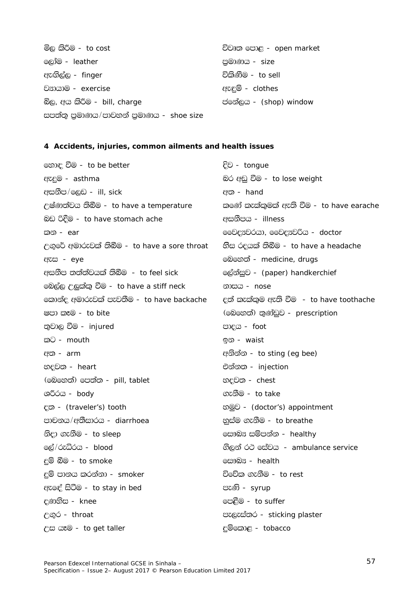මිල කිරීම - *to cost* ලෝම - *leather* ඇඟිල්ල - finger වසායාම - exercise බිල, අය කිරීම - bill, charge සපත්තු පුමාණය/පාවහන් පුමාණය - shoe size

විවෘත පොළ - open market පුමාණය - size විකිණීම - *to sell* ඇඳුම් - clothes ජමන්ලය - *(shop) window* 

#### 4 Accidents, injuries, common ailments and health issues

හොඳ වීම - to be better ඇදුම - asthma අසනීප/ලෙඩ - *ill, sick* උෂ්ණාත්වය තිබීම - to have a temperature බඩ රිදීම - to have stomach ache කන - *ear* උගුරේ අමාරුවක් තිබීම - to have a sore throat ඇස - eve අසනීප තත්ත්වයක් තිබීම - to feel sick මෙල්ල උලුක්කු වීම - to have a stiff neck කොන්ද අමාරුවක් පැවතීම - to have backache ෂපා කෑම - to bite තුවාල වීම - *injured* කට - mouth අත - *arm* හදවත - heart (මෙහෙත්) පෙත්ත - pill, tablet ශරීරය - body <sub>ε</sub> (traveler's) tooth පාචනය/අතීසාරය - diarrhoea නිදා ගැනීම - to sleep ලේ/රුධිරය - *blood* දම් බීම - to smoke දම් පානය කරන්නා - *smoker* ඇඳේ සිටීම - to stay in bed eණතිස - knee උගුර - throat උස යෑම - to get taller

දිව - tonque බර අඩු වීම - to lose weight අත - hand කුණේ කැක්කමක් ඇති වීම - to have earache අසනීපය - *illness* මවෙද¤වරයා, මෛද¤ුවරිය - doctor හිස රදයක් තිබීම - to have a headache මෙහෙත් - *medicine, drugs* ලේන්සුව - (paper) handkerchief නාසය - nose දුන් කැක්කම ඇති වීම - to have toothache (මෙහෙත්) තුණ්ඩුව - prescription පාදය - foot ඉන - waist අනින්න - to sting (eg bee) එන්න**ා** - injection හදවත - chest ගැනීම - to take හමුව - (doctor's) appointment නස්ම ගැනීම - to breathe eසෟබූස සම්පන්න - healthy ගිලන් රථ සේවය - ambulance service ලසෟබුස - health විවේක ගැනීම - *to rest* පැණි - *syrup* පෙළීම - to suffer පැලැස්තර - sticking plaster දම්කොළ - tobacco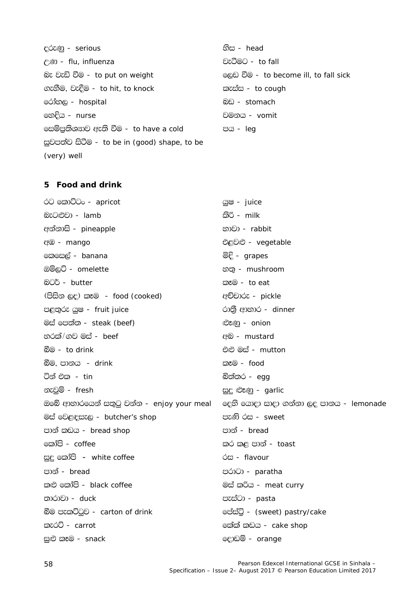දරුණු - serious ලිණි - flu, influenza බැ වැඩි වීම - to put on weight ගැහීම, වැදීම - to hit, to knock රෝහල - hospital හෙදිය - nurse සෙම්පුතිශසාව ඇති වීම - to have a cold සුවපත්ව සිටීම - to be in (good) shape, to be (very) well

හිස - head වැටීමට - to fall ලෙඩ වීම - to become ill, to fall sick කැස්ස - to cough බඩ - stomach වමනය - vomit පය - *leg* 

# 5 Food and drink

| රට කොට්ටං - <i>apricot</i>                | යුෂ - <i>juice</i>                             |
|-------------------------------------------|------------------------------------------------|
| බැටළුවා - lamb                            | කිරි - <i>milk</i>                             |
| අන්නාසි - <i>pineapple</i>                | භාවා - rabbit                                  |
| ඇඹ - <i>mango</i>                         | එළවළු - vegetable                              |
| කෙසෙල් - <i>banana</i>                    | මිදි - $grapes$                                |
| ඔම්ලට් - omelette                         | හතු - mushroom                                 |
| බටර් - butter                             | කෑම - to eat                                   |
| (පිසින ලද) කෑම <i>- food (cooked)</i>     | අච්චාරු - <i>pickle</i>                        |
| පළතුරු යුෂ - fruit juice                  | රානුි ආහාර - dinner                            |
| මස් පෙත්ත - <i>steak (beef)</i>           | ষ্টেক্স - <i>onion</i>                         |
| හරක්/ගව මස් - <i>beef</i>                 | අඩ - mustard                                   |
| බීම - to drink                            | එළු මස් - <i>mutton</i>                        |
| බීම, පානය <i>- drink</i>                  | කෑම - <i>food</i>                              |
| ටින් එක <i>- tin</i>                      | බිත්තර - <i>egg</i>                            |
| නැවුම් - <i>fresh</i>                     |                                                |
|                                           | සුදු මෑණු - garlic                             |
| ඔබේ ආහාරයෙන් සතුටු වන්න - enjoy your meal | දෙහි යොදා සාදා ගන්නා ලද පානය - <i>lemonade</i> |
| මස් වෙළඳසැල - <i>butcher's shop</i>       | පැණි රස - <i>sweet</i>                         |
| පාන් කඩය - <i>bread shop</i>              | පාන් - <i>bread</i>                            |
| කෝපි - <i>coffee</i>                      | කර කළ පාන් - <i>toast</i>                      |
| සුදු කෝපි – white coffee                  | රස - flavour                                   |
| පාන් - <i>bread</i>                       | පරාටා - paratha                                |
| කළු කෝපි - black coffee                   | මස් කරිය - <i>meat curry</i>                   |
| තාරාවා - duck                             | පැස්ටා - pasta                                 |
| බීම පැකට්ටුව - carton of drink            | මේස්ටු - (sweet) pastry/cake                   |
| කැරට් - <i>carrot</i>                     | කේක් කඩය - cake shop                           |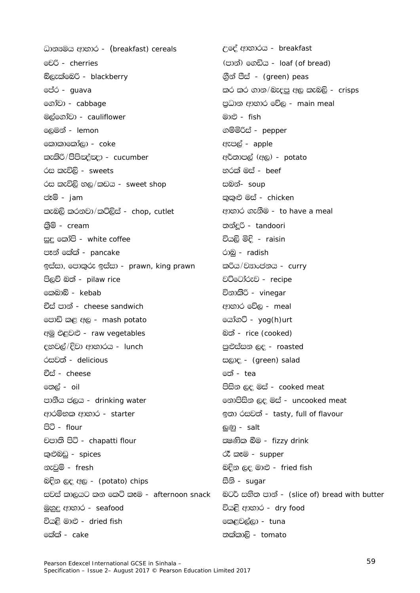ධාන<sub>ී</sub>මය ආහාර - (breakfast) cereals මේරී - cherries බ්ලැක්බෙරි - blackberry ජේර - *auava* ගෝවා - cabbage මුල්ගෝවා - cauliflower ලෙමුන් - *lemon* කොකාකෝලා - *coke* කැකිරි/පිපිකද්කදා - cucumber රස කැවිලි - *sweets* රස කැවිලි හල/කඩය - sweet shop ජෑම් - *iam* කැබලි කරනවා/කට්ලිස් - chop, cutlet කීම් - *cream* සුදු කෝපි - white coffee පෑන් කේක් - pancake ඉස්සා, පොකුරු ඉස්සා - prawn, king prawn පිලව් බත් - pilaw rice කෙබාබ් - *kebab* වීස් පාන් - cheese sandwich පොඩි කළ අල - mash potato අමු එළවළු - raw vegetables දහවල්/දිවා ආහාරය - *lunch* රසුවත් - *delicious* චීස් - *cheese* ගතල් - *oil* පානීය ජලය - drinking water ආරම්භක ආහාර - starter පිටි - flour චපාති පිටි - chapatti flour කුළුබඩු - spices නැවුම් - fresh බදින ලද අල - (potato) chips සවස් කාලයට කන කෙටි කෑම - afternoon snack මහුදු ආහාර - seafood වියළි මාළු - *dried fish* කේක් - *cake* 

උදේ ආහාරය - breakfast (පාන්) ගෙඩිය - *loaf (of bread)* ගින් පීස් - *(green) peas* කර කර ගාන/බැදපු අල කැබලි - crisps පුධාන ආහාර වේල - main meal මාළු - fish ගම්මිරිස් - pepper ඇපල් - *apple* අර්තාපල් (අල) - *potato* හරක් මස් - *beef* සබන්- *soup* කකළු මස් - chicken ආහාර ගැනීම - to have a meal තන්දුරි - tandoori වියලි මිදි - raisin රා<u>බ</u> - radish කුරිය/වසාංජනය - curry වට්ටෝරුව - recipe විනාකිරි - *vinegar* ආහාර වේල - *meal* යෝගට් - yog(h)urt බත් - rice (cooked) පුළුස්සන ලද - roasted සලාද - (green) salad නේ - *tea* පිසින ලද මස් - cooked meat නොපිසින ලද මස් - uncooked meat ඉතා රසවත් - tasty, full of flavour මුණු - salt සමණික බීම - *fizzy drink* ්ටි කෑම - supper බදින ලද මාළු - fried fish සීනි - *sugar* බටර් සහිත පාන් - (slice of) bread with butter වියළි ආහාර - dry food කෙළවල්ලා - tuna තක්කාලි - tomato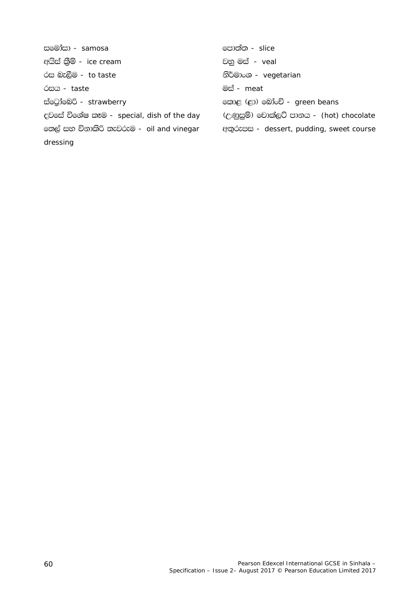සමෝසා - samosa අයිස් කීම් - ice cream රස බැලීම - to taste óco - taste ස්ටෝඩෙරි - strawberry දවසේ විශේෂ කෑම - special, dish of the day හෙල් සහ විනාකිරි තැවරුම - oil and vinegar dressing

පොත්ත - slice වනු මස් - veal නිර්මාංශ - vegetarian මස් - *meat* හොළ (ළා) බෝංචි - green beans (උණුසුම්) වොක්ලට් පානය - (hot) chocolate අතුරුපස - dessert, pudding, sweet course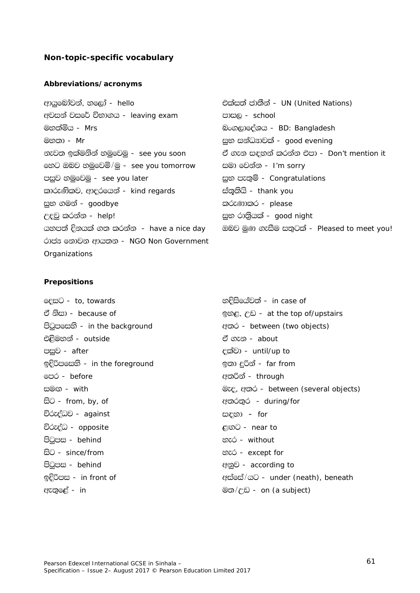### **Non-topic-specific vocabulary**

#### **Abbreviations/acronyms**

ආයුබෝවන්, හලෝ - *hello* එක්සත් ජාතීන් - *UN (United Nations)* wjika jif¾ úNd.h - *leaving exam* mdi, - *school* uy;añh - *Mrs* nx.,dfoaYh - *BD: Bangladesh* uy;d - *Mr* iqN ikaOHdjla - *good evening* fyg Tnj yuqfjñ\$uq - *see you tomorrow* iud fjkak - *I'm sorry* පසුව හමුවෙමු - *see you later* in it is a message of *Congratulations*  $\omega$ කාරුණිකව, ආදරයෙන් - *kind regards* ස්තුතියි - *thank you* සුභ ගමන් - *goodbye* කරුණාකර - *please* <u>උදවු කරන්න - *help!* is a second read to the mode manufacture in the second relation of the second relation of the second relation of  $\mathbb{R}^n$ </u> rdcH fkdjk wdh;k - *NGO Non Government Organizations*

නැවත ඉක්මනින් හමුවෙමු - *see you soon* ඒ ගැන සඳහන් කරන්න එපා - *Don't mention it* යහපත් දිනයක් ගත කරන්න *- have a nice day ...* ඔබව මුණ ගැසීම සතුටක් - *Pleased to meet you!* 

#### **Prepositions**

t<suyka - *outside* ta .ek - *about*  miqj - *after* olajd - *until/up to* bÈßmfiys - *in the foreground* b;d ÿßka - *far from* fmr - *before* w;ßka - *through*  isg - *from, by, of* w;r;=r - *during/for* <u>විරුද්ධව - *against* සඳහා – for</u> úreoaO - *opposite* <`.g - *near to* msgqmi - *behind* yer - *without*  isg - *since/from* yer - *except for* msgqmi - *behind* wkqj - *according to* we;=f<a - *in* u;\$Wv - *on (a subject)*

foig - *to, towards* yÈisfhaj;a - *in case of* <u>ඒ නිසා - *because of* by the by-cause of and the set of and the top of/upstairs</u> msgqmfiys - *in the background* w;r - *between (two objects)* සමග - *with*  $\infty$  *vith*  $\infty$  *between (several objects)* <u>ඉදිරිපස - *in front of* wicker with the second term and a credit and a second in the second of  $\theta$ </u>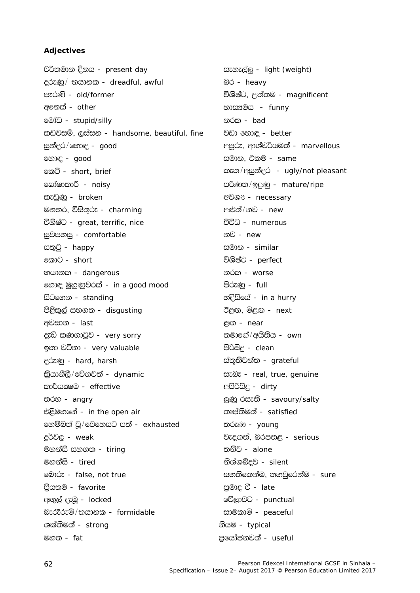# Adjectives

වර්තමාන දිනය - present day දරුණු/ භයානක - dreadful, awful පැරණි - old/former අනෙක් - other මෝඩ - *stupid/silly* කඩවසම්, ලස්සන - handsome, beautiful, fine සුන්දර/හොඳ - good හොඳ - *good* කෙටි - short, brief සෝෂාකාරී - noisy කැඩුණු - broken මනහර, විසිතුරු - charming විශිෂ්ට - great, terrific, nice සුවපහසු - comfortable සතුටු - happy කොට - short භයානක - dangerous හොඳ මුහුණුවරක් - in a good mood සිටගෙන - standing පිළිකුල් සහගත - disgusting අවසාන - *last* ccඩි කණගාටුව - very sorry ඉතා වටිනා - very valuable දරුණු - hard, harsh ඛ්යාශීලී/වේගවත් - dynamic කාර්යකමම - effective තරහ - angry එළිමහගේ - in the open air හෙම්බත් ව/වෙහෙසට පත් - exhausted දුර්වල - weak මහන්සි සහගත - tiring මහන<del>්ඩ</del>් - tired මඩාරු - false, not true පියතම - favorite අගල් දැමු - *locked* බැරැිරුම්/භයානක - formidable ශක්තිමත් - *strong* මහත - *fat* 

සැහැල්ල - light (weight) බර - heavy විශිෂ්ට, උත්තම - magnificent භාස<sub>3</sub>මය – funny නරක - *bad* වඩා හොඳ - better අපූරු, ආශ්චර්යමත් - marvellous සමාන, එකම - *same* කැත/අසුන්දර - ugly/not pleasant පරිණත/ඉදුණු - mature/ripe අවශ<sup>x</sup> - necessary අළුත්/නව - *new* විවිධ - *numerous* නව - *new* සමාන - similar විශිෂ්ට - *perfect* නරක - worse පිරුණ - full හදිසියේ - in a hurry <u> ඊළඟ, මීළඟ - next</u>  $CO - near$ තමාගේ/අයිතිය - own පිරිසිද - clean ස්තුතිවන්ත - grateful සะฟิร - real, true, genuine අපිරිසිදු - dirty ලුණු රසැති - savoury/salty තෘප්තිමත් - satisfied තරුණ - voung වැදගත්, බරපතළ - serious තනිව - *alone* නිශ්ශබ්දව - silent සහතිකෙන්ම, තහවුරෙන්ම - sure පුමාදු වී - *late* වේලාවට - punctual සාමකාමී - peaceful නියම - typical පුගෝජනවත් - useful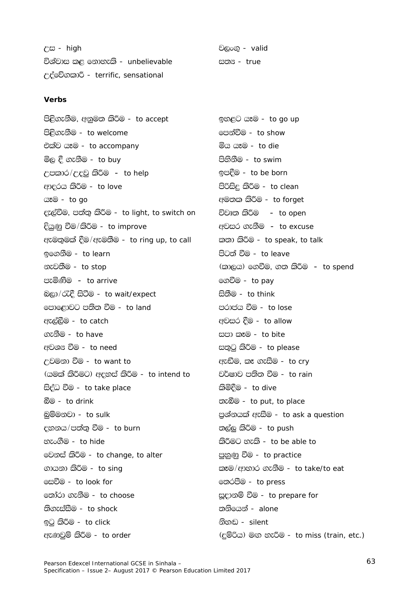| උස - <i>high</i>                   |
|------------------------------------|
| විශ්වාස කළ නොහැකි -  unbelievable  |
| උද්වේගකාරී - terrific, sensational |

### Verbs

පිළිගැනීම, අනුමත කිරීම - to accept පිළිගැනීම - to welcome එක්ව යෑම - to accompany මිල දී ගැනීම - *to buy* උපකාර/උදවු කිරීම - to help ආදරය කිරීම - to love යෑම - to go දැල්වීම, පත්තු කිරීම - to light, to switch on දියුණු වීම/කිරීම - to improve ඇමතුමක් දීම/ඇමතීම - to ring up, to call ඉගෙනීම - to learn නැවතීම - to stop පැමිණීම - to arrive බලා/රැදී සිටීම - to wait/expect පොළොවට පතිත වීම - to land ඇත්බීම - *to catch* ගැනීම - *to have* අවශ<sup>ය</sup> වීම - to need උවමනා වීම - to want to (යමක් කිරීමට) අදහස් කිරීම - to intend to සිද්ධ වීම - to take place බීම - to drink බම්මනවා - to sulk දහනය/පත්තු වීම - to burn හැංගීම - *to hide* මෙනස් කිරීම - to change, to alter ගායනා කිරීම - *to sing* ලසවීම - *to look for* තෝරා ගැනීම - *to choose* තිගැස්සීම - to shock ඉටු කිරීම - to click ඇණුවුම් කිරීම - to order

වලංගු - valid සුනු - *true* 

ඉහළට යෑම - to go up පෙන්වීම - *to show* මිය යෑම - *to die* පිහිනීම - to swim ඉපදීම - to be born පිරිසිදු කිරීම - to clean අමතක කිරීම - to forget විවෘත කිරීම - to open අවසර ගැනීම - to excuse කතා කිරීම - to speak, to talk පිටුත් වීම - *to leave* (කාලය) ගෙවීම, ගත කිරීම – *to spend* ගෙවීම - *to pay* සිනීම - *to think* පරාජය වීම - *to lose* අවසර දීම - to allow සපා කෑම - to bite සතුටු කිරීම - to please ඇඬීම, කෑ ගැසීම - to cry වර්ෂාව පතිත වීම - to rain කිමිදීම - *to dive* තැබීම - to put, to place පුග්නයක් ඇසීම - to ask a question තල්ලු කිරීම - *to push* කිරීමට හැකි - to be able to පුහුණු වීම - to practice කෑම/ආහාර ගැනීම - to take/to eat තෙරපීම - *to press* සූදානම් වීම - to prepare for තනියෙන් - *alone* නිහඬ - silent (දුම්රිය) මඟ හැරීම - to miss (train, etc.)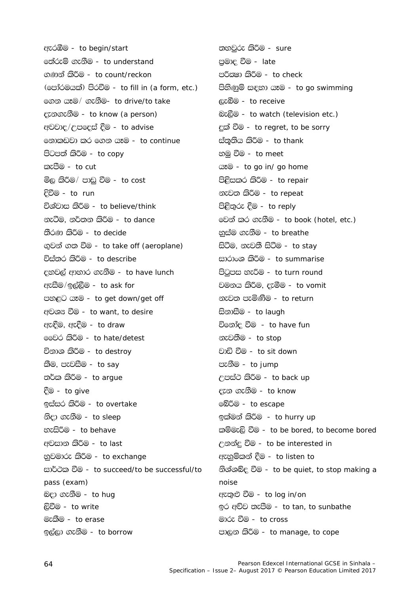ඇරඹීම - to begin/start ඉත්රුම් ගැනීම - to understand ගණන් කිරීම - to count/reckon (පෝරමයක්) පිරවීම - to fill in (a form, etc.) මගන යෑම/ ගැනීම- to drive/to take දැනගැනීම - to know (a person) අවවාද/උපදෙස් දීම - to advise නොකඩවා කර ගෙන යෑම - to continue පිටපත් කිරීම - to copy කැපීම - *to cut* මිල කිරීම/ පාඩු වීම - *to cost* දිවීම - *to run* විශ්වාස කිරීම - to believe/think නැටීම, නර්තන කිරීම - *to dance* තීරණ කිරීම - to decide ගුවන් ගත වීම - to take off (aeroplane) විස්තර කිරීම - to describe දහවල් ආහාර ගැනීම - to have lunch ඇසීම/ඉල්ලීම - to ask for පහඳට යෑම - to get down/get off අවශ<sup>x</sup> වීම - to want, to desire ඇඳීම, ඇදීම - to draw මෙවර කිරීම - to hate/detest විනාශ කිරීම - to destroy කීම, පැවසීම - to say තර්ක කිරීම - to argue දීම - to give ඉස්සර කිරීම - to overtake නිදා ගැනීම - *to sleep* හැසිරීම - to behave අවසාන කිරීම - to last නුවමාරු කිරීම - to exchange සාර්ථක වීම - to succeed/to be successful/to pass (exam) බදා ගැනීම - *to hug* ලිවීම - to write මැකීම - to erase ඉල්ලා ගැනීම - *to borrow* 

තහවුරු කිරීම - *sure* පුමාදු වීම - *late* පරීකමා කිරීම - to check පිහිණුම් සඳහා යෑම - to go swimming ලැබීම - to receive බැලීම - to watch (television etc.) දක් වීම - to regret, to be sorry ස්තුතිය කිරීම - to thank හමු වීම - *to meet* **az**<sup>©</sup> - to go in/ go home පිළිසකර කිරීම - to repair නැවත කිරීම - to repeat පිළිතුරු දීම - to reply මෙන් කර ගැනීම - to book (hotel, etc.) නුස්ම ගැනීම - to breathe සිටීම, නැවතී සිටීම - to stay සාරාංශ කිරීම - to summarise පිටුපස හැරීම - to turn round වමනය කිරීම, දැමීම - to vomit නැවුනු පැමිණීම - to return සිනාසීම - to laugh විනෝද වීම - to have fun නැවතීම - *to stop* වාඩි වීම - to sit down පැනීම - to jump උපස්ථ කිරීම - to back up දැන ගැනීම - to know මේරීම - to escape ඉක්මන් කිරීම - *to hurry up* කම්මැලි වීම - to be bored, to become bored උනන්දු වීම - to be interested in ඇහුම්කන් දීම - *to listen to* හිශ්ශබ්ද වීම - to be quiet, to stop making a noise ඇතුළු වීම - to log in/on ඉර අව්ව තැපීම - to tan, to sunbathe මාරු වීම - to cross පාලන කිරීම - to manage, to cope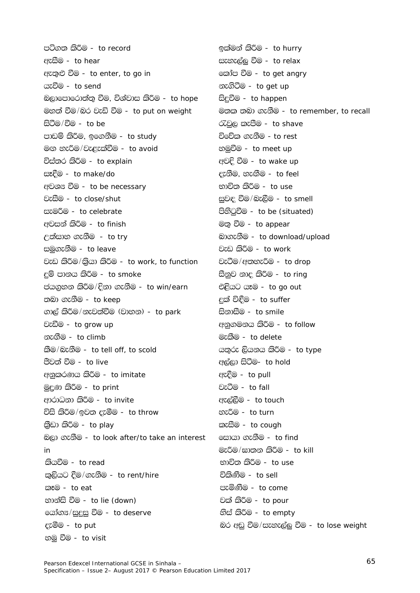පටිගත කිරීම - to record ඇසීම - to hear ඇතුළු වීම - to enter, to go in යැවීම - to send බලාපොරොත්තු වීම, විශ්වාස කිරීම - to hope මහත් වීම/බර වැඩි වීම - to put on weight සිටීම/වීම - *to be* පාඩම් කිරීම, ඉගෙනීම - to study මග හැරීම/වැළැක්වීම - to avoid විස්තර කිරීම - to explain සෑදීම - to make/do අවශ<sup>x</sup> වීම - to be necessary වැසීම - to close/shut සැමරීම - to celebrate අවසන් කිරීම - to finish උත්සාහ ගැනීම - to try සමුගැනීම - to leave වැඩ කිරීම/කියා කිරීම - to work, to function දම් පානය කිරීම - to smoke ජයගුහන කිරීම/දිනා ගැනීම - to win/earn තබා ගැනීම - to keep ගාල් කිරීම/නැවත්වීම (වාහන) - to park වැඩීම - to grow up නැගීම - to climb කීම/බැනීම - to tell off, to scold පීවත් වීම - *to live* අනුකරණය කිරීම - to imitate මුදුණු කිරීම - to print ආරාධනා කිරීම - to invite විසි කිරීම/ඉවත දැමීම - to throw කීඩා කිරීම - to play බලා ගැනීම - to look after/to take an interest  $in$ කියවීම - to read කුලියට දීම/ගැනීම - to rent/hire කෑම - to eat නාන්සි වීම - to lie (down) යෝග<sup>න</sup>/සුදසු වීම - *to deserve* දැමීම - to put හමු වීම - to visit

ඉක්මන් කිරීම - *to hurry* සැහැල්ල වීම - to relax කෝප වීම - to get angry නැගිටීම - *to get up* සිදුවීම - to happen මුතු තබා ගැනීම - to remember, to recall රැවුල කැපීම - to shave විවේක ගැනීම - to rest හමුවීම - to meet up අවදි වීම - to wake up දැනීම, හැඟීම - to feel භාවිත කිරීම - *to use* සුවඳ වීම/බැලීම - to smell පිහිටුවීම - to be (situated) මතු වීම - to appear බාගැනීම - to download/upload වැඩ කිරීම - to work වැටීම/අතහැරීම - to drop සීනුව නාද කිරීම - to ring එළියට යෑම - to go out දක් විඳීම - to suffer සිනාසීම - to smile අනුගමනය කිරීම - to follow මැකීම - to delete යතුරු ලියනය කිරීම - to type අල්ලා සිටීම- *to hold* ඇදීම - to pull වැටීම - to fall ඇල්ලීම - to touch හැරීම - to turn කැසීම - *to cough* සොයා ගැනීම - *to find* මැරීම/ඝාතන කිරීම - to kill භාවිත කිරීම - *to use* විකිණීම - *to sell* පැමිණීම - *to come* වක් කිරීම - *to pour* හිස් කිරීම - to empty බර අඩු වීම/සැහැල්ලු වීම - to lose weight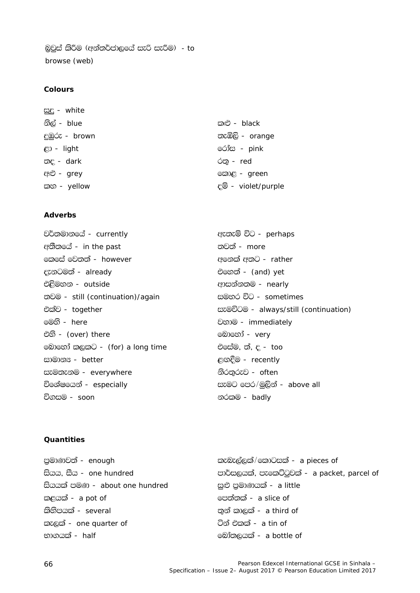බුවුස් කිරීම (අන්තර්ජාලයේ සැරි සැරීම) - to browse (web)

### Colours

æe - white නිල් - *blue* කළු - black නැඹිලි - orange දුඹුරු - *brown* රෝස - pink  $\mathfrak{S}$  - light තද - dark  $\circledcirc$  - red අළු - grey කොළ - green කහ - yellow දම් - violet/purple

### **Adverbs**

වර්තමානයේ - currently අතීතයේ - in the past කෙසේ වෙතත් - however දැනටමත් - already එළිමහන - outside තවම - still (continuation)/again එක්ව - together මෙහි - *here* එහි - (over) there මොහෝ කලකට - (for) a long time සාමාන<sup> -</sup> better සැමතැනම - everywhere විශේෂයෙන් - especially විගසම - *soon* 

ඇතැම් විට - perhaps තවත් - *more* අනෙක් අතට - rather එහෙත් - (and) yet ආසන්නතම - nearly සමහර විට - sometimes සැමවිටම - always/still (continuation) වහාම - immediately බොහෝ - *very* එසේම, ත්, ද - too ළගදීම - recently නිරතුරුව - often සැමට පෙර/මුලින් - above all නරකම - badlv

# Ouantities

| පුමාණවත් - <i>enough</i>       | කැබැල්ලක්/කොටසක් - a pieces of               |
|--------------------------------|----------------------------------------------|
| සියය, සීය - one hundred        | පාර්සලයක්, පැකෙට්ටුවක් - a packet, parcel of |
| සියයක් පමණ - about one hundred | සුළු පුමාණයක් - <i>a little</i>              |
| කළයක් - a pot of               | පෙත්තක් - <i>a slice of</i>                  |
| කිනිපයක් - <i>several</i>      | තුන් කාලක් - <i>a third of</i>               |
| කැලක් - one quarter of         | ටින් එකක් - <i>a tin of</i>                  |
| භාගයක් - <i>half</i>           | මෝතලයක් - a bottle of                        |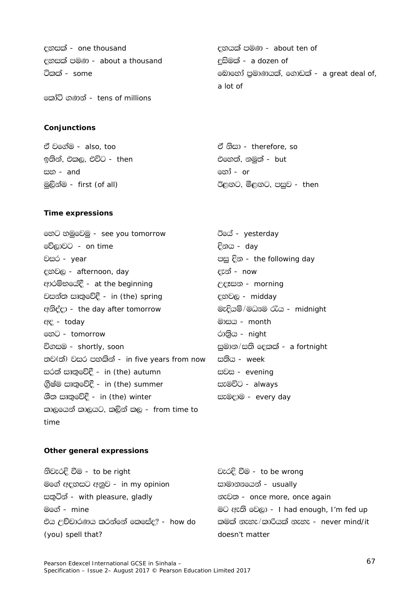| දහසක් - one thousand         | දහයක් පමණ - about ten of                |
|------------------------------|-----------------------------------------|
| දහසක් පමණ - about a thousand | <del>දසි</del> මක් - <i>a dozen of</i>  |
| ටිකක් - <i>some</i>          | මොහෝ පුමාණයක්, ගොඩක් - a great deal of, |
|                              | a lot of                                |
| කෝටි ගණන් - tens of millions |                                         |

Conjunctions

| ඒ වගේම - <i>also, too</i>       | ඒ නිසා - <i>therefore, so</i>   |
|---------------------------------|---------------------------------|
| ඉතින්, එකල, එවිට - <i>then</i>  | එහෙත්, නමුත් - <i>but</i>       |
| සහ - <i>and</i>                 | <u> කෝ - <i>or</i></u>          |
| මුලින්ම - <i>first (of all)</i> | ඊළගට, මීළගට, පසුව - <i>then</i> |

### **Time expressions**

හෙට හමුවෙමු - see you tomorrow ඊයේ - yesterday වේලාවට - on time දිනය - *day* වසර - year දහවල - afternoon, day දැන් - *now* ආරම්භයේදී - at the beginning උදෑසන - morning වසන්ත සෘතුවේදී - in (the) spring දහවල - midday අනිද්දා - the day after tomorrow මාසය - month ee - today මහිට - tomorrow රාතිය - night විගසම - shortly, soon තව(ත්) වසර පහකින් - in five years from now සුනිය - *week* සරත් සෘතුවේදී - in (the) autumn සවස - evening ගිුෂ්ම සෘතුවේදී - in (the) summer සැමවිට - always ශීත සෘතුවේදී - in (the) winter සැමදාම - every day කාලයෙන් කාලයට, කලින් කල - *from time to*  $time$ 

පසු දින - the following day මැදියම්/මධාපම රැය - midnight සුමාන/සති දෙකක් - a fortnight

#### Other general expressions

| වැරදි වීම - to be wrong                |
|----------------------------------------|
| සාමානඎගෙන් - usually                   |
| නැවත - once more, once again           |
| මට ඇති වෙලා - I had enough, I'm fed up |
| කමක් නැහැ/කාරියක් නැහැ - never mind/it |
| doesn't matter                         |
|                                        |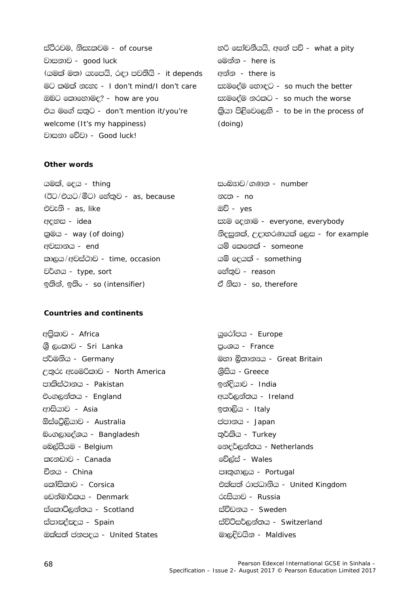ස්ථිරවම, නිසැකවම - of course වාසනාව - *aood luck* (යමක් මත) යැපෙයි, රඳා පවතියි - it depends මට කමක් නැහැ - I don't mind/I don't care ඔබට කොහොමද? - how are you එය මගේ සතුට - don't mention it/you're welcome (It's my happiness) වාසනා වේවා - *Good luck!* 

හරි සෝචනීයයි, අනේ පව් - what a pity මෙන්න - *here is* අන්න - there is සැමදේම හොඳට - so much the better සැමදේම නරකට - so much the worse කියා පිළිවෙලෙහි - to be in the process of  $(doinq)$ 

#### Other words

යමක්, දෙය - thing (ඊට/එයට/මීට) හේතුව - as, because එවැනි - as like ඇතස - idea කුමය - way (of doing) අවසානය - end කාලය/අවස්ථාව - time, occasion වර්ගය - type, sort ඉතින්, ඉතිං - *so (intensifier)* 

### Countries and continents

අපිකාව - Africa ශී ලංකාව - Sri Lanka ප්ර්මනිය - Germany උතුරු ඇමෙරිකාව - North America පාකිස්ථානය - Pakistan එංගලන්තය - England ආසියාව - *Asia* ඕස්ටේලියාව - Australia බංගලාදේශය - Bangladesh බෙල්පීයම - Belgium කැනඩාව - *Canada* චීනය - *China* කෝසිකාව - *Corsica* ඩෙන්මාර්කය - Denmark ස්කොට්ලන්තය - Scotland ස්පාඤ්ඤය - Spain ඔක්සත් ජනපදය - United States

සංබුහුව/ගුණුන - number නැත - no <u>ඔව් - yes</u> සැම දෙනාම - everyone, everybody නිදසුනක්, උදාහරණයක් ලෙස - for example යම් කෙනෙක් - *someone* යම් ලෙයක් - something මේතුව - reason ඒ නිසා - so, therefore

යුරෝපය - *Europe* පුංශය - France මහා බිතාන<sup>x</sup>ය - Great Britain ශිසිය - Greece ඉන්දියාව - *India* අයර්ලන්තය - Ireland ඉතාලිය - Italy ජපානය - *Japan* තුර්කිය - *Turkey* මනදර්ලන්තය - Netherlands වේල්ස් - *Wales* පෘතුගාලය - Portugal එක්සත් රාජධානිය - United Kinadom රුසියාව - Russia ස්වීඩනය - *Sweden* ස්විට්සර්ලන්තය - Switzerland මාලදිවයින - Maldives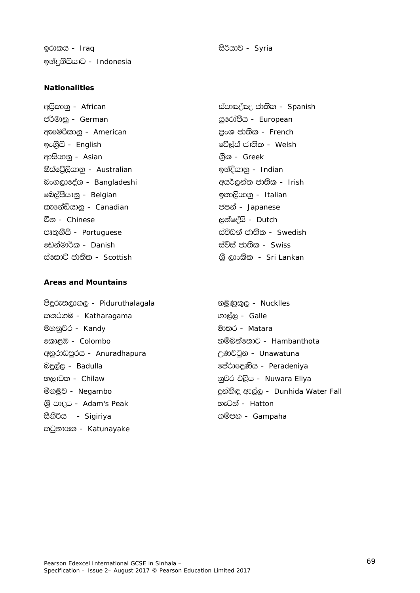<u>ඉ</u>රාකය - *Iraq* issues is the internal matrix <del>සි</del>රියාව - *Syria* <u>ඉ</u>න්දුනීසියාව - *Indonesia* 

## **Nationalities**

<u>ජර්මානු - *German* https://www.facebook.com/diversity/diversity/diversity/diversity/diversity/diversity/diversity/</u> ඇමෙරිකානු - *American* m කොටස් පාර්ෂා පාර්ෂා පාර්ෂා *French* <u>ඉංගීුසි - *English* for all examples the set of the set of the set of the set of the set of the set of the set of the set of the set of the set of the set of the set of the set of the set of the set of the set of the set</u> wdishdkq - *Asian* .S%l - *Greek* ´iafÜ%,shdkq - *Australian* bkaÈhdkq - *Indian* <mark>බංග</mark>ලාලෙදීශ - *Bangladeshi* අයුර්ලන්ත ජාතික - *Irish* fn,aðhdkq - *Belgian* b;d,shdkq - *Italian* lefkaähdkq - *Canadian* cmka - *Japanese* Ök - *Chinese* ,kafoais - *Dutch* පෘතුගීසි - *Portuguese* ස්වීඩන් ජාතික - *Swedish* fvkaud¾l - *Danish* iaúia cd;sl - *Swiss* ස්කොට් ජාතික - *Scottish* ශුි ලාංකික - *Sri Lankan* 

## **Areas and Mountains**

msÿre;,d., - *Piduruthalagala* kuqKql=, - *Nucklles*  $\infty$ රිගම - *Katharagama* .... - - - - ගාල්ල - *Galle* uykqjr - *Kandy* ud;r - *Matara* fld<U - *Colombo* yïnkaf;dg - *Hambanthota* tනුරාධපුරය - *Anuradhapura* ලංකාව - *Unawatuna* nÿ,a, - *Badulla* fmardfoKsh - *Peradeniya* භලාවන - *Chilaw* khang has been populated to a populate *p*වර එළිය - *Nuwara Eliya* YS% mdoh - *Adam's Peak* yegka - *Hatton* සීගිරිය - *Sigiriya* ... ... ... ... ... ගම්පහ - *Gampaha* කටුනායක - *Katunayake* 

අපිකානු - *African* ස්පාඤ්ඤ ජාතික - *Spanish* 

ó.uqj - *Negambo* ÿkays| we,a, - *Dunhida Water Fall*